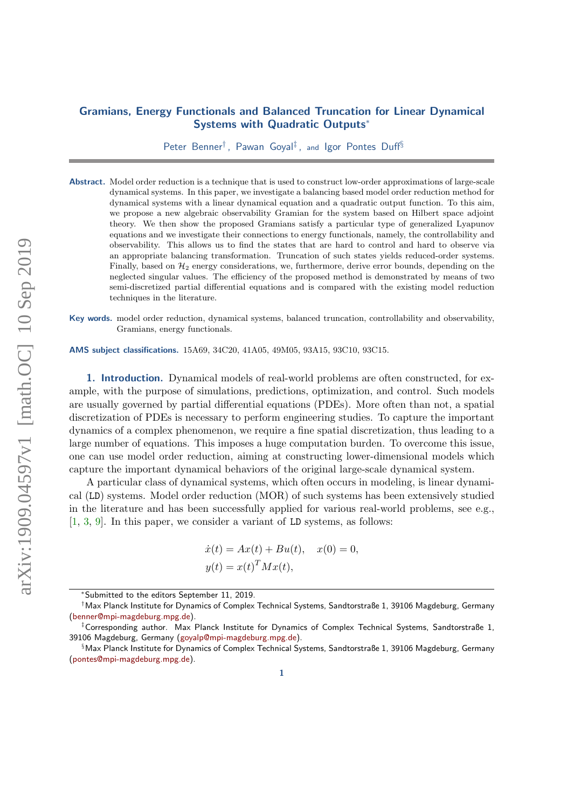## Gramians, Energy Functionals and Balanced Truncation for Linear Dynamical Systems with Quadratic Outputs<sup>∗</sup>

Peter Benner<sup>†</sup>, Pawan Goyal<sup>‡</sup>, and Igor Pontes Duff<sup>§</sup>

Abstract. Model order reduction is a technique that is used to construct low-order approximations of large-scale dynamical systems. In this paper, we investigate a balancing based model order reduction method for dynamical systems with a linear dynamical equation and a quadratic output function. To this aim, we propose a new algebraic observability Gramian for the system based on Hilbert space adjoint theory. We then show the proposed Gramians satisfy a particular type of generalized Lyapunov equations and we investigate their connections to energy functionals, namely, the controllability and observability. This allows us to find the states that are hard to control and hard to observe via an appropriate balancing transformation. Truncation of such states yields reduced-order systems. Finally, based on  $\mathcal{H}_2$  energy considerations, we, furthermore, derive error bounds, depending on the neglected singular values. The efficiency of the proposed method is demonstrated by means of two semi-discretized partial differential equations and is compared with the existing model reduction techniques in the literature.

Key words. model order reduction, dynamical systems, balanced truncation, controllability and observability, Gramians, energy functionals.

AMS subject classifications. 15A69, 34C20, 41A05, 49M05, 93A15, 93C10, 93C15.

1. Introduction. Dynamical models of real-world problems are often constructed, for example, with the purpose of simulations, predictions, optimization, and control. Such models are usually governed by partial differential equations (PDEs). More often than not, a spatial discretization of PDEs is necessary to perform engineering studies. To capture the important dynamics of a complex phenomenon, we require a fine spatial discretization, thus leading to a large number of equations. This imposes a huge computation burden. To overcome this issue, one can use model order reduction, aiming at constructing lower-dimensional models which capture the important dynamical behaviors of the original large-scale dynamical system.

A particular class of dynamical systems, which often occurs in modeling, is linear dynamical (LD) systems. Model order reduction (MOR) of such systems has been extensively studied in the literature and has been successfully applied for various real-world problems, see e.g., [\[1,](#page-21-0) [3,](#page-21-1) [9\]](#page-21-2). In this paper, we consider a variant of LD systems, as follows:

$$
\dot{x}(t) = Ax(t) + Bu(t), \quad x(0) = 0,
$$
  

$$
y(t) = x(t)^T M x(t),
$$

<sup>∗</sup>Submitted to the editors September 11, 2019.

<sup>†</sup>Max Planck Institute for Dynamics of Complex Technical Systems, Sandtorstraße 1, 39106 Magdeburg, Germany [\(benner@mpi-magdeburg.mpg.de\)](mailto:benner@mpi-magdeburg.mpg.de).

<sup>‡</sup>Corresponding author. Max Planck Institute for Dynamics of Complex Technical Systems, Sandtorstraße 1, 39106 Magdeburg, Germany [\(goyalp@mpi-magdeburg.mpg.de\)](mailto:goyalp@mpi-magdeburg.mpg.de).

<sup>§</sup>Max Planck Institute for Dynamics of Complex Technical Systems, Sandtorstraße 1, 39106 Magdeburg, Germany [\(pontes@mpi-magdeburg.mpg.de\)](mailto:pontes@mpi-magdeburg.mpg.de).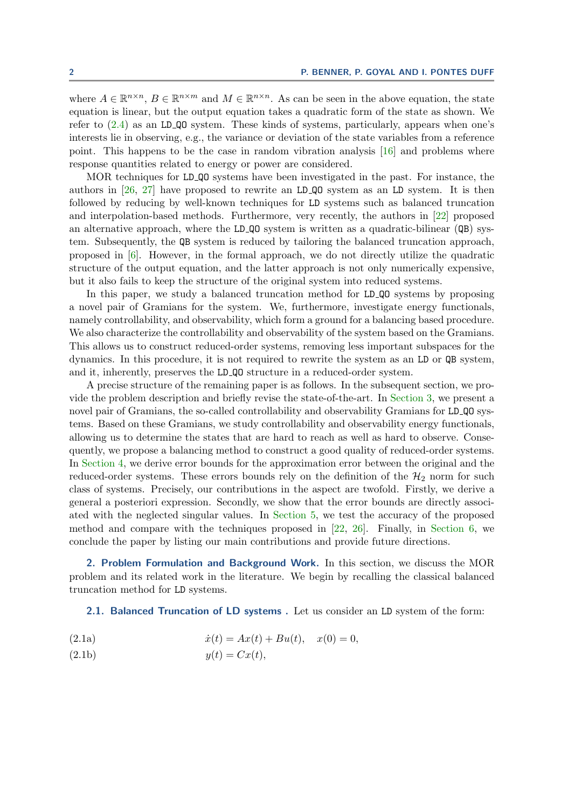where  $A \in \mathbb{R}^{n \times n}$ ,  $B \in \mathbb{R}^{n \times m}$  and  $M \in \mathbb{R}^{n \times n}$ . As can be seen in the above equation, the state equation is linear, but the output equation takes a quadratic form of the state as shown. We refer to  $(2.4)$  as an LD QO system. These kinds of systems, particularly, appears when one's interests lie in observing, e.g., the variance or deviation of the state variables from a reference point. This happens to be the case in random vibration analysis [\[16\]](#page-21-3) and problems where response quantities related to energy or power are considered.

MOR techniques for LD QO systems have been investigated in the past. For instance, the authors in  $[26, 27]$  $[26, 27]$  $[26, 27]$  have proposed to rewrite an LD<sub>-QQ</sub> system as an LD system. It is then followed by reducing by well-known techniques for LD systems such as balanced truncation and interpolation-based methods. Furthermore, very recently, the authors in [\[22\]](#page-21-4) proposed an alternative approach, where the LD  $\Omega$  system is written as a quadratic-bilinear ( $\Omega$ B) system. Subsequently, the QB system is reduced by tailoring the balanced truncation approach, proposed in [\[6\]](#page-21-5). However, in the formal approach, we do not directly utilize the quadratic structure of the output equation, and the latter approach is not only numerically expensive, but it also fails to keep the structure of the original system into reduced systems.

In this paper, we study a balanced truncation method for LD QO systems by proposing a novel pair of Gramians for the system. We, furthermore, investigate energy functionals, namely controllability, and observability, which form a ground for a balancing based procedure. We also characterize the controllability and observability of the system based on the Gramians. This allows us to construct reduced-order systems, removing less important subspaces for the dynamics. In this procedure, it is not required to rewrite the system as an LD or QB system, and it, inherently, preserves the LD QO structure in a reduced-order system.

A precise structure of the remaining paper is as follows. In the subsequent section, we provide the problem description and briefly revise the state-of-the-art. In [Section 3,](#page-5-0) we present a novel pair of Gramians, the so-called controllability and observability Gramians for LD QO systems. Based on these Gramians, we study controllability and observability energy functionals, allowing us to determine the states that are hard to reach as well as hard to observe. Consequently, we propose a balancing method to construct a good quality of reduced-order systems. In [Section 4,](#page-12-0) we derive error bounds for the approximation error between the original and the reduced-order systems. These errors bounds rely on the definition of the  $\mathcal{H}_2$  norm for such class of systems. Precisely, our contributions in the aspect are twofold. Firstly, we derive a general a posteriori expression. Secondly, we show that the error bounds are directly associated with the neglected singular values. In [Section 5,](#page-17-0) we test the accuracy of the proposed method and compare with the techniques proposed in  $[22, 26]$  $[22, 26]$  $[22, 26]$ . Finally, in [Section 6,](#page-19-0) we conclude the paper by listing our main contributions and provide future directions.

2. Problem Formulation and Background Work. In this section, we discuss the MOR problem and its related work in the literature. We begin by recalling the classical balanced truncation method for LD systems.

<span id="page-1-0"></span>2.1. Balanced Truncation of LD systems . Let us consider an LD system of the form:

- (2.1a)  $\dot{x}(t) = Ax(t) + Bu(t), \quad x(0) = 0,$
- (2.1b)  $y(t) = Cx(t),$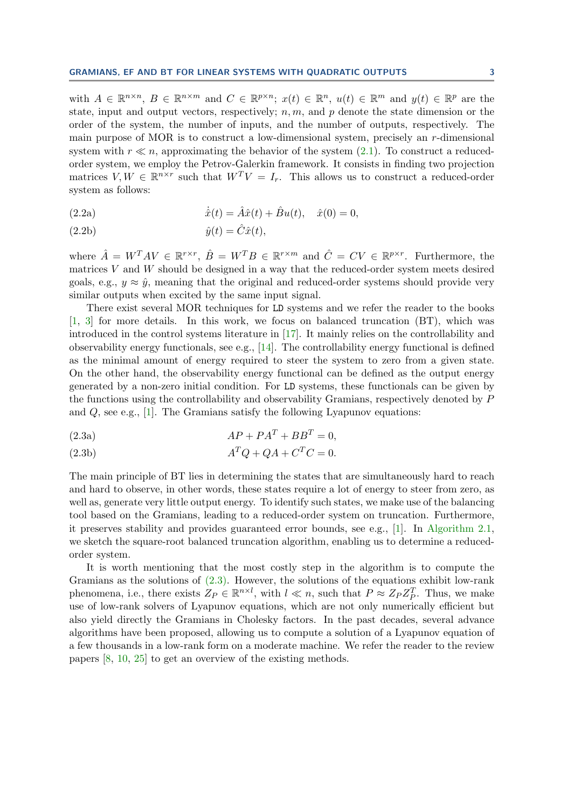with  $A \in \mathbb{R}^{n \times n}$ ,  $B \in \mathbb{R}^{n \times m}$  and  $C \in \mathbb{R}^{p \times n}$ ;  $x(t) \in \mathbb{R}^n$ ,  $u(t) \in \mathbb{R}^m$  and  $y(t) \in \mathbb{R}^p$  are the state, input and output vectors, respectively;  $n, m$ , and p denote the state dimension or the order of the system, the number of inputs, and the number of outputs, respectively. The main purpose of MOR is to construct a low-dimensional system, precisely an r-dimensional system with  $r \ll n$ , approximating the behavior of the system [\(2.1\)](#page-1-0). To construct a reducedorder system, we employ the Petrov-Galerkin framework. It consists in finding two projection matrices  $V, W \in \mathbb{R}^{n \times r}$  such that  $W^T V = I_r$ . This allows us to construct a reduced-order system as follows:

(2.2a) 
$$
\dot{\hat{x}}(t) = \hat{A}\hat{x}(t) + \hat{B}u(t), \quad \hat{x}(0) = 0,
$$

$$
\hat{y}(t) = \hat{C}\hat{x}(t),
$$

where  $\hat{A} = W^T A V \in \mathbb{R}^{r \times r}$ ,  $\hat{B} = W^T B \in \mathbb{R}^{r \times m}$  and  $\hat{C} = CV \in \mathbb{R}^{p \times r}$ . Furthermore, the matrices  $V$  and  $W$  should be designed in a way that the reduced-order system meets desired goals, e.g.,  $y \approx \hat{y}$ , meaning that the original and reduced-order systems should provide very similar outputs when excited by the same input signal.

There exist several MOR techniques for LD systems and we refer the reader to the books [\[1,](#page-21-0) [3\]](#page-21-1) for more details. In this work, we focus on balanced truncation (BT), which was introduced in the control systems literature in [\[17\]](#page-21-6). It mainly relies on the controllability and observability energy functionals, see e.g.,  $[14]$ . The controllability energy functional is defined as the minimal amount of energy required to steer the system to zero from a given state. On the other hand, the observability energy functional can be defined as the output energy generated by a non-zero initial condition. For LD systems, these functionals can be given by the functions using the controllability and observability Gramians, respectively denoted by P and  $Q$ , see e.g., [\[1\]](#page-21-0). The Gramians satisfy the following Lyapunov equations:

<span id="page-2-1"></span><span id="page-2-0"></span>
$$
(2.3a) \tAP + PAT + BBT = 0,
$$

<span id="page-2-2"></span>
$$
(2.3b) \t\t ATQ + QA + CTC = 0.
$$

The main principle of BT lies in determining the states that are simultaneously hard to reach and hard to observe, in other words, these states require a lot of energy to steer from zero, as well as, generate very little output energy. To identify such states, we make use of the balancing tool based on the Gramians, leading to a reduced-order system on truncation. Furthermore, it preserves stability and provides guaranteed error bounds, see e.g., [\[1\]](#page-21-0). In [Algorithm 2.1,](#page-3-1) we sketch the square-root balanced truncation algorithm, enabling us to determine a reducedorder system.

It is worth mentioning that the most costly step in the algorithm is to compute the Gramians as the solutions of  $(2.3)$ . However, the solutions of the equations exhibit low-rank phenomena, i.e., there exists  $Z_P \in \mathbb{R}^{n \times l}$ , with  $l \ll n$ , such that  $P \approx Z_P Z_P^T$ . Thus, we make use of low-rank solvers of Lyapunov equations, which are not only numerically efficient but also yield directly the Gramians in Cholesky factors. In the past decades, several advance algorithms have been proposed, allowing us to compute a solution of a Lyapunov equation of a few thousands in a low-rank form on a moderate machine. We refer the reader to the review papers [\[8,](#page-21-8) [10,](#page-21-9) [25\]](#page-22-2) to get an overview of the existing methods.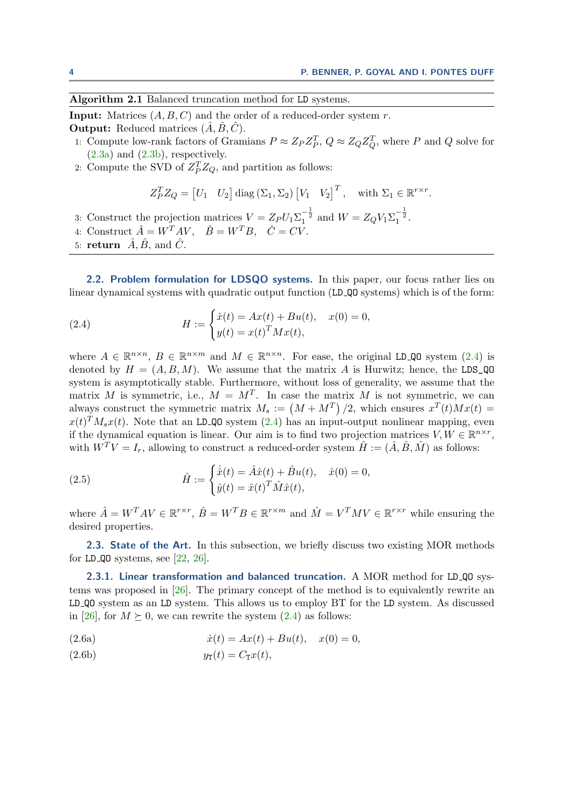<span id="page-3-1"></span>Algorithm 2.1 Balanced truncation method for LD systems.

**Input:** Matrices  $(A, B, C)$  and the order of a reduced-order system r. **Output:** Reduced matrices  $(A, B, C)$ .

- 1: Compute low-rank factors of Gramians  $P \approx Z_P Z_P^T$ ,  $Q \approx Z_Q Z_Q^T$ , where P and Q solve for  $(2.3a)$  and  $(2.3b)$ , respectively.
- 2: Compute the SVD of  $Z_P^T Z_Q$ , and partition as follows:

$$
Z_P^T Z_Q = [U_1 \quad U_2] \operatorname{diag} (\Sigma_1, \Sigma_2) [V_1 \quad V_2]^T, \quad \text{with } \Sigma_1 \in \mathbb{R}^{r \times r}.
$$

- 3: Construct the projection matrices  $V = Z_P U_1 \Sigma_1^{-\frac{1}{2}}$  and  $W = Z_Q V_1 \Sigma_1^{-\frac{1}{2}}$ .
- 4: Construct  $\hat{A} = W^T A V$ ,  $\hat{B} = W^T B$ ,  $\hat{C} = CV$ .
- 5: return  $\hat{A}$ ,  $\hat{B}$ , and  $\hat{C}$ .

2.2. Problem formulation for LDSQO systems. In this paper, our focus rather lies on linear dynamical systems with quadratic output function (LD QO systems) which is of the form:

<span id="page-3-0"></span>(2.4) 
$$
H := \begin{cases} \dot{x}(t) = Ax(t) + Bu(t), & x(0) = 0, \\ y(t) = x(t)^T M x(t), & \end{cases}
$$

where  $A \in \mathbb{R}^{n \times n}$ ,  $B \in \mathbb{R}^{n \times m}$  and  $M \in \mathbb{R}^{n \times n}$ . For ease, the original LD<sub>-</sub>QO system [\(2.4\)](#page-3-0) is denoted by  $H = (A, B, M)$ . We assume that the matrix A is Hurwitz; hence, the LDS\_QO system is asymptotically stable. Furthermore, without loss of generality, we assume that the matrix M is symmetric, i.e.,  $M = M^T$ . In case the matrix M is not symmetric, we can always construct the symmetric matrix  $M_s := (M + M^T)/2$ , which ensures  $x^T(t)Mx(t) =$  $x(t)^T M_s x(t)$ . Note that an LD<sub>-Q</sub>O system [\(2.4\)](#page-3-0) has an input-output nonlinear mapping, even if the dynamical equation is linear. Our aim is to find two projection matrices  $V, W \in \mathbb{R}^{n \times r}$ , with  $W^T V = I_r$ , allowing to construct a reduced-order system  $\hat{H} := (\hat{A}, \hat{B}, \hat{M})$  as follows:

(2.5) 
$$
\hat{H} := \begin{cases} \dot{\hat{x}}(t) = \hat{A}\hat{x}(t) + \hat{B}u(t), & \hat{x}(0) = 0, \\ \hat{y}(t) = \hat{x}(t)^T \hat{M}\hat{x}(t), \end{cases}
$$

where  $\hat{A} = W^T A V \in \mathbb{R}^{r \times r}$ ,  $\hat{B} = W^T B \in \mathbb{R}^{r \times m}$  and  $\hat{M} = V^T M V \in \mathbb{R}^{r \times r}$  while ensuring the desired properties.

2.3. State of the Art. In this subsection, we briefly discuss two existing MOR methods for LD  $\Omega$  systems, see [\[22,](#page-21-4) [26\]](#page-22-0).

2.3.1. Linear transformation and balanced truncation. A MOR method for LD<sub>-QO</sub> systems was proposed in [\[26\]](#page-22-0). The primary concept of the method is to equivalently rewrite an LD QO system as an LD system. This allows us to employ BT for the LD system. As discussed in [\[26\]](#page-22-0), for  $M \succeq 0$ , we can rewrite the system [\(2.4\)](#page-3-0) as follows:

(2.6a) 
$$
\dot{x}(t) = Ax(t) + Bu(t), \quad x(0) = 0,
$$

(2.6b)  $y_{\text{T}}(t) = C_{\text{T}}x(t),$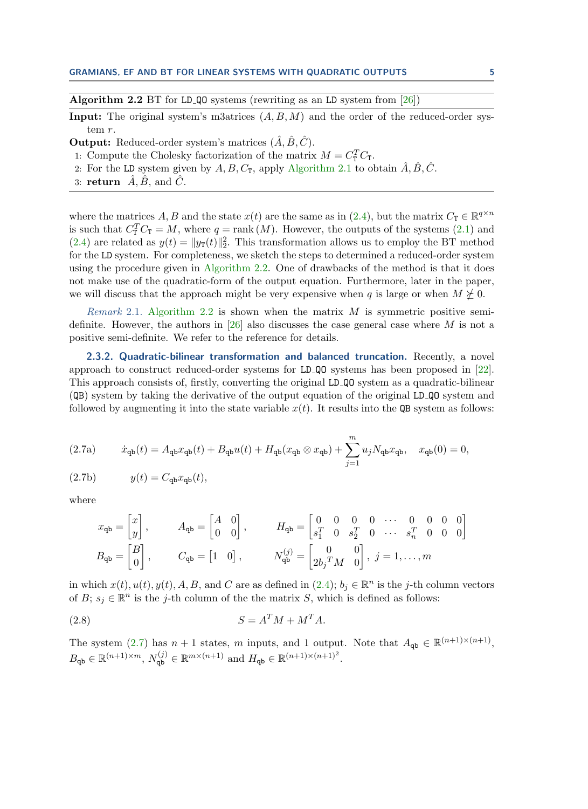<span id="page-4-0"></span>Algorithm 2.2 BT for LD QO systems (rewriting as an LD system from  $[26]$ )

**Input:** The original system's m3atrices  $(A, B, M)$  and the order of the reduced-order system r.

**Output:** Reduced-order system's matrices  $(\hat{A}, \hat{B}, \hat{C})$ .

- 1: Compute the Cholesky factorization of the matrix  $M = C_{\text{T}}^T C_{\text{T}}$ .
- 2: For the LD system given by  $A, B, C_{\text{T}}$ , apply [Algorithm 2.1](#page-3-1) to obtain  $\hat{A}, \hat{B}, \hat{C}$ .
- 3: return  $\tilde{A}, \tilde{B}$ , and  $\tilde{C}$ .

where the matrices A, B and the state  $x(t)$  are the same as in [\(2.4\)](#page-3-0), but the matrix  $C_{\text{T}} \in \mathbb{R}^{q \times n}$ is such that  $C_{\text{T}}^T C_{\text{T}} = M$ , where  $q = \text{rank}(M)$ . However, the outputs of the systems [\(2.1\)](#page-1-0) and [\(2.4\)](#page-3-0) are related as  $y(t) = ||y_T(t)||_2^2$ . This transformation allows us to employ the BT method for the LD system. For completeness, we sketch the steps to determined a reduced-order system using the procedure given in [Algorithm 2.2.](#page-4-0) One of drawbacks of the method is that it does not make use of the quadratic-form of the output equation. Furthermore, later in the paper, we will discuss that the approach might be very expensive when  $q$  is large or when  $M \not\geq 0$ .

Remark 2.1. [Algorithm 2.2](#page-4-0) is shown when the matrix  $M$  is symmetric positive semi-definite. However, the authors in [\[26\]](#page-22-0) also discusses the case general case where M is not a positive semi-definite. We refer to the reference for details.

2.3.2. Quadratic-bilinear transformation and balanced truncation. Recently, a novel approach to construct reduced-order systems for LD QO systems has been proposed in [\[22\]](#page-21-4). This approach consists of, firstly, converting the original LD QO system as a quadratic-bilinear (QB) system by taking the derivative of the output equation of the original LD QO system and followed by augmenting it into the state variable  $x(t)$ . It results into the QB system as follows:

<span id="page-4-1"></span>
$$
(2.7a) \t\t \dot{x}_{\text{qb}}(t) = A_{\text{qb}}x_{\text{qb}}(t) + B_{\text{qb}}u(t) + H_{\text{qb}}(x_{\text{qb}} \otimes x_{\text{qb}}) + \sum_{j=1}^{m} u_j N_{\text{qb}}x_{\text{qb}}, \quad x_{\text{qb}}(0) = 0,
$$

$$
(2.7b) \t y(t) = C_{\mathbf{q}\mathbf{b}} x_{\mathbf{q}\mathbf{b}}(t),
$$

where

$$
x_{\mathbf{q}\mathbf{b}} = \begin{bmatrix} x \\ y \end{bmatrix}, \t A_{\mathbf{q}\mathbf{b}} = \begin{bmatrix} A & 0 \\ 0 & 0 \end{bmatrix}, \t H_{\mathbf{q}\mathbf{b}} = \begin{bmatrix} 0 & 0 & 0 & 0 & \cdots & 0 & 0 & 0 & 0 \\ s_1^T & 0 & s_2^T & 0 & \cdots & s_n^T & 0 & 0 & 0 \end{bmatrix}
$$
  

$$
B_{\mathbf{q}\mathbf{b}} = \begin{bmatrix} B \\ 0 \end{bmatrix}, \t C_{\mathbf{q}\mathbf{b}} = \begin{bmatrix} 1 & 0 \end{bmatrix}, \t N_{\mathbf{q}\mathbf{b}}^{(j)} = \begin{bmatrix} 0 & 0 \\ 2b_j^T M & 0 \end{bmatrix}, j = 1, \dots, m
$$

in which  $x(t), u(t), y(t), A, B$ , and C are as defined in  $(2.4)$ ;  $b_j \in \mathbb{R}^n$  is the j-th column vectors of B;  $s_j \in \mathbb{R}^n$  is the j-th column of the the matrix S, which is defined as follows:

$$
(2.8)\t\t\t S = A^T M + M^T A.
$$

The system [\(2.7\)](#page-4-1) has  $n + 1$  states, m inputs, and 1 output. Note that  $A_{\mathbf{qb}} \in \mathbb{R}^{(n+1)\times(n+1)}$ ,  $B_{\mathbf{q}\mathbf{b}} \in \mathbb{R}^{(n+1)\times m}$ ,  $N_{\mathbf{q}\mathbf{b}}^{(j)} \in \mathbb{R}^{m\times (n+1)}$  and  $H_{\mathbf{q}\mathbf{b}} \in \mathbb{R}^{(n+1)\times (n+1)^2}$ .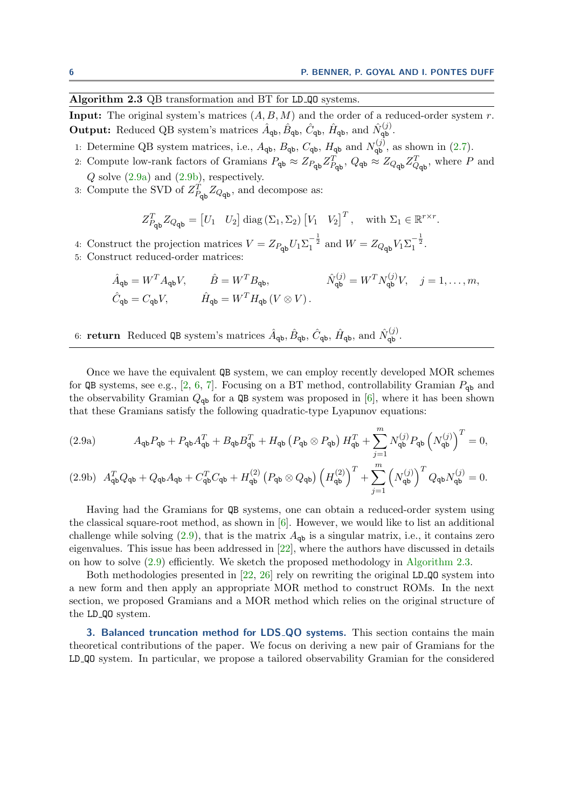<span id="page-5-4"></span>Algorithm 2.3 QB transformation and BT for LD<sub>-QO</sub> systems.

**Input:** The original system's matrices  $(A, B, M)$  and the order of a reduced-order system r. Output: Reduced QB system's matrices  $\hat{A}_{\mathbf{q}\mathbf{b}}, \hat{B}_{\mathbf{q}\mathbf{b}}, \hat{C}_{\mathbf{q}\mathbf{b}}, \hat{H}_{\mathbf{q}\mathbf{b}}$ , and  $\hat{N}_{\mathbf{q}\mathbf{b}}^{(j)}$ .

- 1: Determine QB system matrices, i.e.,  $A_{\text{qb}}$ ,  $B_{\text{qb}}$ ,  $C_{\text{qb}}$ ,  $H_{\text{qb}}$  and  $N_{\text{qb}}^{(j)}$ , as shown in [\(2.7\)](#page-4-1).
- 2: Compute low-rank factors of Gramians  $P_{\text{qb}} \approx Z_{P_{\text{qb}}} Z_{P_{\text{qb}}}^T$ ,  $Q_{\text{qb}} \approx Z_{Q_{\text{qb}}} Z_{Q_{\text{qb}}}^T$ , where P and Q solve [\(2.9a\)](#page-5-1) and [\(2.9b\)](#page-5-2), respectively.
- 3: Compute the SVD of  $Z_{P_{\mathbf{q}\mathbf{b}}}^T Z_{Q_{\mathbf{q}\mathbf{b}}}$ , and decompose as:

$$
Z_{P_{\mathbf{q}\mathbf{b}}}^{T} Z_{Q_{\mathbf{q}\mathbf{b}}} = \begin{bmatrix} U_1 & U_2 \end{bmatrix} \operatorname{diag} \left( \Sigma_1, \Sigma_2 \right) \begin{bmatrix} V_1 & V_2 \end{bmatrix}^{T}, \quad \text{with } \Sigma_1 \in \mathbb{R}^{r \times r}.
$$

4: Construct the projection matrices  $V = Z_{P_{\text{qb}}} U_1 \Sigma_1^{-\frac{1}{2}}$  and  $W = Z_{Q_{\text{qb}}} V_1 \Sigma_1^{-\frac{1}{2}}$ . 5: Construct reduced-order matrices:

<span id="page-5-3"></span>
$$
\begin{aligned}\n\hat{A}_{\mathbf{q}\mathbf{b}} &= W^T A_{\mathbf{q}\mathbf{b}} V, & \hat{B} &= W^T B_{\mathbf{q}\mathbf{b}}, & \hat{N}_{\mathbf{q}\mathbf{b}}^{(j)} &= W^T N_{\mathbf{q}\mathbf{b}}^{(j)} V, & j &= 1, \dots, m, \\
\hat{C}_{\mathbf{q}\mathbf{b}} &= C_{\mathbf{q}\mathbf{b}} V, & \hat{H}_{\mathbf{q}\mathbf{b}} &= W^T H_{\mathbf{q}\mathbf{b}} \left( V \otimes V \right).\n\end{aligned}
$$

6: **return** Reduced QB system's matrices  $\hat{A}_{\mathbf{q}\mathbf{b}}, \hat{B}_{\mathbf{q}\mathbf{b}}, \hat{C}_{\mathbf{q}\mathbf{b}}, \hat{H}_{\mathbf{q}\mathbf{b}}$ , and  $\hat{N}_{\mathbf{q}\mathbf{b}}^{(j)}$ .

Once we have the equivalent QB system, we can employ recently developed MOR schemes for QB systems, see e.g., [\[2,](#page-21-10) [6,](#page-21-5) [7\]](#page-21-11). Focusing on a BT method, controllability Gramian  $P_{\rm ab}$  and the observability Gramian  $Q_{\text{qb}}$  for a QB system was proposed in [\[6\]](#page-21-5), where it has been shown that these Gramians satisfy the following quadratic-type Lyapunov equations:

<span id="page-5-1"></span>(2.9a) 
$$
A_{\mathbf{q}\mathbf{b}}P_{\mathbf{q}\mathbf{b}} + P_{\mathbf{q}\mathbf{b}}A_{\mathbf{q}\mathbf{b}}^T + B_{\mathbf{q}\mathbf{b}}B_{\mathbf{q}\mathbf{b}}^T + H_{\mathbf{q}\mathbf{b}}(P_{\mathbf{q}\mathbf{b}} \otimes P_{\mathbf{q}\mathbf{b}}) H_{\mathbf{q}\mathbf{b}}^T + \sum_{j=1}^m N_{\mathbf{q}\mathbf{b}}^{(j)}P_{\mathbf{q}\mathbf{b}}(N_{\mathbf{q}\mathbf{b}}^{(j)})^T = 0,
$$

<span id="page-5-2"></span>
$$
(2.9b)\ \ A_{\mathbf{q}\mathbf{b}}^T Q_{\mathbf{q}\mathbf{b}} + Q_{\mathbf{q}\mathbf{b}} A_{\mathbf{q}\mathbf{b}} + C_{\mathbf{q}\mathbf{b}}^T C_{\mathbf{q}\mathbf{b}} + H_{\mathbf{q}\mathbf{b}}^{(2)} (P_{\mathbf{q}\mathbf{b}} \otimes Q_{\mathbf{q}\mathbf{b}}) \left( H_{\mathbf{q}\mathbf{b}}^{(2)} \right)^T + \sum_{j=1}^m \left( N_{\mathbf{q}\mathbf{b}}^{(j)} \right)^T Q_{\mathbf{q}\mathbf{b}} N_{\mathbf{q}\mathbf{b}}^{(j)} = 0.
$$

Having had the Gramians for QB systems, one can obtain a reduced-order system using the classical square-root method, as shown in  $[6]$ . However, we would like to list an additional challenge while solving  $(2.9)$ , that is the matrix  $A_{\rm qb}$  is a singular matrix, i.e., it contains zero eigenvalues. This issue has been addressed in [\[22\]](#page-21-4), where the authors have discussed in details on how to solve [\(2.9\)](#page-5-3) efficiently. We sketch the proposed methodology in [Algorithm 2.3.](#page-5-4)

Both methodologies presented in [\[22,](#page-21-4) [26\]](#page-22-0) rely on rewriting the original LD QO system into a new form and then apply an appropriate MOR method to construct ROMs. In the next section, we proposed Gramians and a MOR method which relies on the original structure of the LD QO system.

<span id="page-5-0"></span>3. Balanced truncation method for LDS QO systems. This section contains the main theoretical contributions of the paper. We focus on deriving a new pair of Gramians for the LD QO system. In particular, we propose a tailored observability Gramian for the considered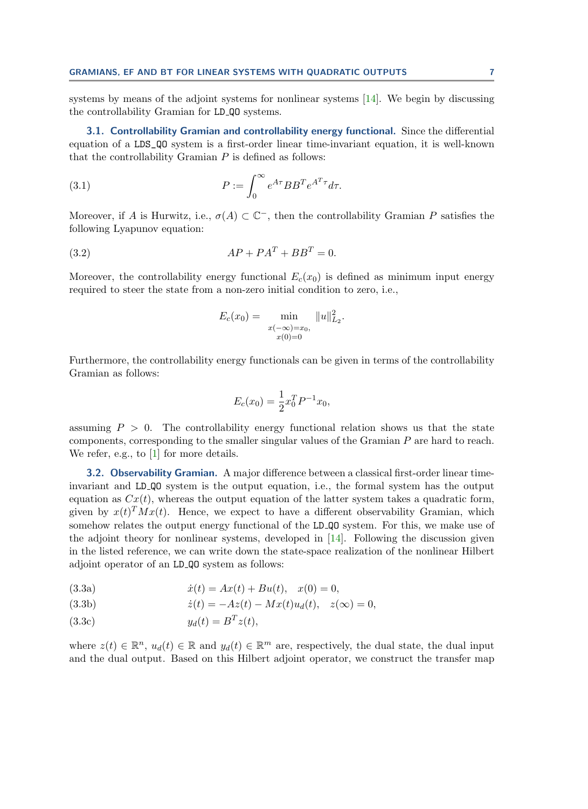systems by means of the adjoint systems for nonlinear systems  $[14]$ . We begin by discussing the controllability Gramian for LD QO systems.

3.1. Controllability Gramian and controllability energy functional. Since the differential equation of a LDS\_QO system is a first-order linear time-invariant equation, it is well-known that the controllability Gramian  $P$  is defined as follows:

(3.1) 
$$
P := \int_0^\infty e^{A\tau} B B^T e^{A^T \tau} d\tau.
$$

Moreover, if A is Hurwitz, i.e.,  $\sigma(A) \subset \mathbb{C}^-$ , then the controllability Gramian P satisfies the following Lyapunov equation:

$$
(3.2) \tAP + PAT + BBT = 0.
$$

Moreover, the controllability energy functional  $E_c(x_0)$  is defined as minimum input energy required to steer the state from a non-zero initial condition to zero, i.e.,

<span id="page-6-2"></span>
$$
E_c(x_0) = \min_{\substack{x(-\infty)=x_0,\\x(0)=0}} \|u\|_{L_2}^2.
$$

Furthermore, the controllability energy functionals can be given in terms of the controllability Gramian as follows:

$$
E_c(x_0) = \frac{1}{2}x_0^T P^{-1} x_0,
$$

assuming  $P > 0$ . The controllability energy functional relation shows us that the state components, corresponding to the smaller singular values of the Gramian P are hard to reach. We refer, e.g., to [\[1\]](#page-21-0) for more details.

**3.2. Observability Gramian.** A major difference between a classical first-order linear timeinvariant and LD QO system is the output equation, i.e., the formal system has the output equation as  $Cx(t)$ , whereas the output equation of the latter system takes a quadratic form, given by  $x(t)^T M x(t)$ . Hence, we expect to have a different observability Gramian, which somehow relates the output energy functional of the LD QO system. For this, we make use of the adjoint theory for nonlinear systems, developed in [\[14\]](#page-21-7). Following the discussion given in the listed reference, we can write down the state-space realization of the nonlinear Hilbert adjoint operator of an LD QO system as follows:

<span id="page-6-1"></span><span id="page-6-0"></span>(3.3a) 
$$
\dot{x}(t) = Ax(t) + Bu(t), \quad x(0) = 0,
$$

(3.3b) 
$$
\dot{z}(t) = -Az(t) - Mx(t)u_d(t), \quad z(\infty) = 0,
$$

$$
(3.3c) \t\t y_d(t) = B^T z(t),
$$

where  $z(t) \in \mathbb{R}^n$ ,  $u_d(t) \in \mathbb{R}$  and  $y_d(t) \in \mathbb{R}^m$  are, respectively, the dual state, the dual input and the dual output. Based on this Hilbert adjoint operator, we construct the transfer map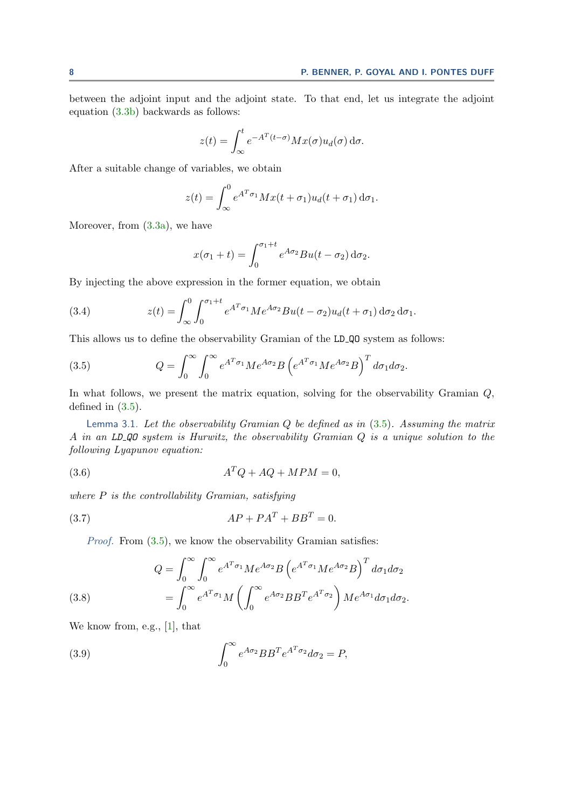between the adjoint input and the adjoint state. To that end, let us integrate the adjoint equation [\(3.3b\)](#page-6-0) backwards as follows:

$$
z(t) = \int_{\infty}^{t} e^{-A^{T}(t-\sigma)} Mx(\sigma) u_d(\sigma) d\sigma.
$$

After a suitable change of variables, we obtain

$$
z(t) = \int_{\infty}^{0} e^{A^{T}\sigma_{1}} Mx(t+\sigma_{1})u_{d}(t+\sigma_{1}) d\sigma_{1}.
$$

Moreover, from [\(3.3a\)](#page-6-1), we have

$$
x(\sigma_1 + t) = \int_0^{\sigma_1 + t} e^{A\sigma_2} Bu(t - \sigma_2) d\sigma_2.
$$

By injecting the above expression in the former equation, we obtain

(3.4) 
$$
z(t) = \int_{\infty}^{0} \int_{0}^{\sigma_{1}+t} e^{A^{T}\sigma_{1}} Me^{A\sigma_{2}}Bu(t-\sigma_{2})u_{d}(t+\sigma_{1}) d\sigma_{2} d\sigma_{1}.
$$

This allows us to define the observability Gramian of the LD QO system as follows:

<span id="page-7-0"></span>(3.5) 
$$
Q = \int_0^\infty \int_0^\infty e^{A^T \sigma_1} M e^{A \sigma_2} B \left( e^{A^T \sigma_1} M e^{A \sigma_2} B \right)^T d\sigma_1 d\sigma_2.
$$

In what follows, we present the matrix equation, solving for the observability Gramian  $Q$ , defined in [\(3.5\)](#page-7-0).

Lemma 3.1. Let the observability Gramian  $Q$  be defined as in  $(3.5)$ . Assuming the matrix A in an LD QO system is Hurwitz, the observability Gramian Q is a unique solution to the following Lyapunov equation:

<span id="page-7-3"></span>
$$
(3.6) \t\t\t A^T Q + A Q + M P M = 0,
$$

where  $P$  is the controllability Gramian, satisfying

$$
(3.7) \tAP + PAT + BBT = 0.
$$

*Proof.* From  $(3.5)$ , we know the observability Gramian satisfies:

<span id="page-7-1"></span>(3.8) 
$$
Q = \int_0^\infty \int_0^\infty e^{A^T \sigma_1} Me^{A \sigma_2} B \left( e^{A^T \sigma_1} Me^{A \sigma_2} B \right)^T d\sigma_1 d\sigma_2
$$

$$
= \int_0^\infty e^{A^T \sigma_1} M \left( \int_0^\infty e^{A \sigma_2} B B^T e^{A^T \sigma_2} \right) Me^{A \sigma_1} d\sigma_1 d\sigma_2.
$$

We know from, e.g., [\[1\]](#page-21-0), that

<span id="page-7-2"></span>(3.9) 
$$
\int_0^\infty e^{A\sigma_2} BB^T e^{A^T \sigma_2} d\sigma_2 = P,
$$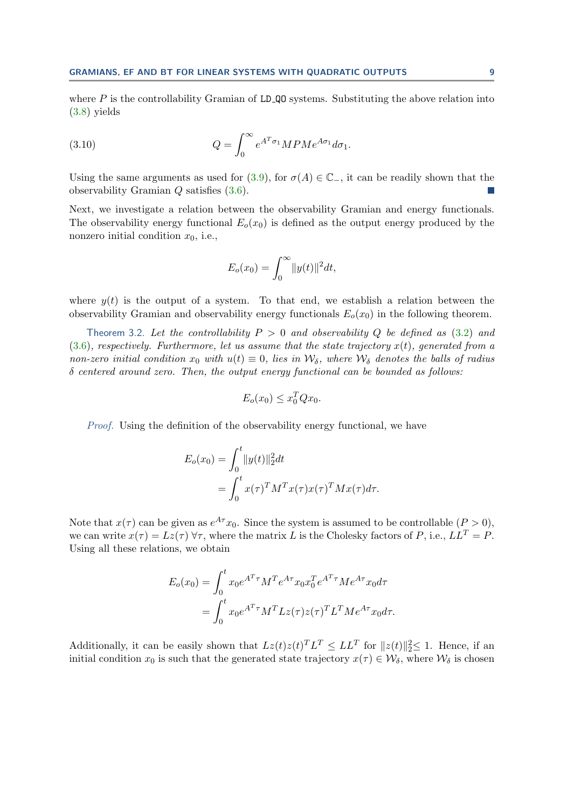where  $P$  is the controllability Gramian of LD QO systems. Substituting the above relation into [\(3.8\)](#page-7-1) yields

(3.10) 
$$
Q = \int_0^\infty e^{A^T \sigma_1} MPMe^{A \sigma_1} d\sigma_1.
$$

Using the same arguments as used for [\(3.9\)](#page-7-2), for  $\sigma(A) \in \mathbb{C}$ , it can be readily shown that the observability Gramian Q satisfies [\(3.6\)](#page-7-3).

Next, we investigate a relation between the observability Gramian and energy functionals. The observability energy functional  $E_o(x_0)$  is defined as the output energy produced by the nonzero initial condition  $x_0$ , i.e.,

$$
E_o(x_0) = \int_0^\infty ||y(t)||^2 dt,
$$

where  $y(t)$  is the output of a system. To that end, we establish a relation between the observability Gramian and observability energy functionals  $E_o(x_0)$  in the following theorem.

Theorem 3.2. Let the controllability  $P > 0$  and observability Q be defined as [\(3.2\)](#page-6-2) and  $(3.6)$ , respectively. Furthermore, let us assume that the state trajectory  $x(t)$ , generated from a non-zero initial condition  $x_0$  with  $u(t) \equiv 0$ , lies in  $\mathcal{W}_\delta$ , where  $\mathcal{W}_\delta$  denotes the balls of radius δ centered around zero. Then, the output energy functional can be bounded as follows:

$$
E_o(x_0) \le x_0^T Q x_0.
$$

Proof. Using the definition of the observability energy functional, we have

$$
E_o(x_0) = \int_0^t \|y(t)\|_2^2 dt
$$
  
= 
$$
\int_0^t x(\tau)^T M^T x(\tau) x(\tau)^T M x(\tau) d\tau.
$$

Note that  $x(\tau)$  can be given as  $e^{A\tau}x_0$ . Since the system is assumed to be controllable  $(P > 0)$ , we can write  $x(\tau) = Lz(\tau)$   $\forall \tau$ , where the matrix L is the Cholesky factors of P, i.e.,  $LL^T = P$ . Using all these relations, we obtain

$$
E_o(x_0) = \int_0^t x_0 e^{A^T \tau} M^T e^{A \tau} x_0 x_0^T e^{A^T \tau} M e^{A \tau} x_0 d\tau
$$
  
= 
$$
\int_0^t x_0 e^{A^T \tau} M^T L z(\tau) z(\tau)^T L^T M e^{A \tau} x_0 d\tau.
$$

Additionally, it can be easily shown that  $Lz(t)z(t)^TL^T \leq LL^T$  for  $||z(t)||_2^2 \leq 1$ . Hence, if an initial condition  $x_0$  is such that the generated state trajectory  $x(\tau) \in \mathcal{W}_{\delta}$ , where  $\mathcal{W}_{\delta}$  is chosen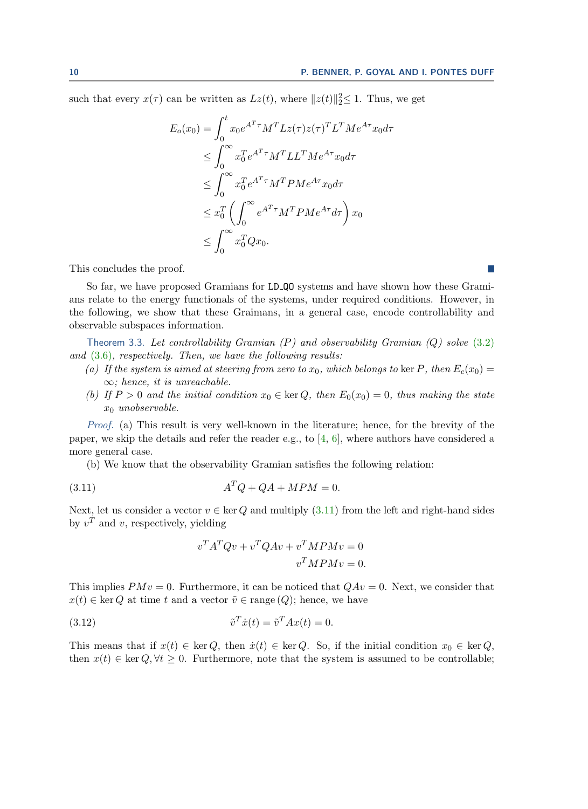such that every  $x(\tau)$  can be written as  $Lz(t)$ , where  $||z(t)||_2^2 \leq 1$ . Thus, we get

$$
E_o(x_0) = \int_0^t x_0 e^{A^T \tau} M^T L z(\tau) z(\tau)^T L^T M e^{A \tau} x_0 d\tau
$$
  
\n
$$
\leq \int_0^\infty x_0^T e^{A^T \tau} M^T L L^T M e^{A \tau} x_0 d\tau
$$
  
\n
$$
\leq \int_0^\infty x_0^T e^{A^T \tau} M^T P M e^{A \tau} x_0 d\tau
$$
  
\n
$$
\leq x_0^T \left( \int_0^\infty e^{A^T \tau} M^T P M e^{A \tau} d\tau \right) x_0
$$
  
\n
$$
\leq \int_0^\infty x_0^T Q x_0.
$$

This concludes the proof.

So far, we have proposed Gramians for LD QO systems and have shown how these Gramians relate to the energy functionals of the systems, under required conditions. However, in the following, we show that these Graimans, in a general case, encode controllability and observable subspaces information.

Theorem 3.3. Let controllability Gramian  $(P)$  and observability Gramian  $(Q)$  solve [\(3.2\)](#page-6-2) and  $(3.6)$ , respectively. Then, we have the following results:

- <span id="page-9-1"></span>(a) If the system is aimed at steering from zero to  $x_0$ , which belongs to ker P, then  $E_c(x_0)$  =  $\infty$ ; hence, it is unreachable.
- (b) If  $P > 0$  and the initial condition  $x_0 \in \text{ker } Q$ , then  $E_0(x_0) = 0$ , thus making the state  $x_0$  unobservable.

Proof. (a) This result is very well-known in the literature; hence, for the brevity of the paper, we skip the details and refer the reader e.g., to  $[4, 6]$  $[4, 6]$  $[4, 6]$ , where authors have considered a more general case.

(b) We know that the observability Gramian satisfies the following relation:

$$
(3.11) \t\t ATQ + QA + MPM = 0.
$$

Next, let us consider a vector  $v \in \text{ker } Q$  and multiply [\(3.11\)](#page-9-0) from the left and right-hand sides by  $v^T$  and v, respectively, yielding

<span id="page-9-0"></span>
$$
vTATQv + vTQAv + vTMPMv = 0
$$

$$
vTMPMv = 0.
$$

This implies  $PMv = 0$ . Furthermore, it can be noticed that  $QAv = 0$ . Next, we consider that  $x(t) \in \text{ker } Q$  at time t and a vector  $\tilde{v} \in \text{range}(Q)$ ; hence, we have

(3.12) 
$$
\tilde{v}^T \dot{x}(t) = \tilde{v}^T A x(t) = 0.
$$

This means that if  $x(t) \in \text{ker } Q$ , then  $\dot{x}(t) \in \text{ker } Q$ . So, if the initial condition  $x_0 \in \text{ker } Q$ , then  $x(t) \in \text{ker } Q, \forall t \geq 0$ . Furthermore, note that the system is assumed to be controllable;

**I**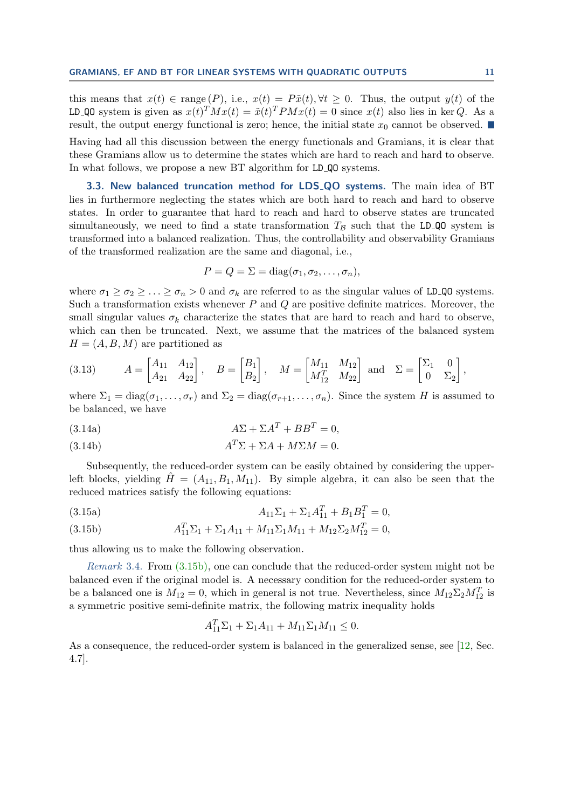this means that  $x(t) \in \text{range}(P)$ , i.e.,  $x(t) = P\tilde{x}(t), \forall t \geq 0$ . Thus, the output  $y(t)$  of the LD\_QO system is given as  $x(t)^T M x(t) = \tilde{x}(t)^T P M x(t) = 0$  since  $x(t)$  also lies in ker Q. As a result, the output energy functional is zero; hence, the initial state  $x_0$  cannot be observed.

Having had all this discussion between the energy functionals and Gramians, it is clear that these Gramians allow us to determine the states which are hard to reach and hard to observe. In what follows, we propose a new BT algorithm for LD QO systems.

<span id="page-10-1"></span>3.3. New balanced truncation method for LDS\_QO systems. The main idea of BT lies in furthermore neglecting the states which are both hard to reach and hard to observe states. In order to guarantee that hard to reach and hard to observe states are truncated simultaneously, we need to find a state transformation  $T_B$  such that the LD QO system is transformed into a balanced realization. Thus, the controllability and observability Gramians of the transformed realization are the same and diagonal, i.e.,

$$
P = Q = \Sigma = \text{diag}(\sigma_1, \sigma_2, \dots, \sigma_n),
$$

where  $\sigma_1 \geq \sigma_2 \geq \ldots \geq \sigma_n > 0$  and  $\sigma_k$  are referred to as the singular values of LD\_QO systems. Such a transformation exists whenever  $P$  and  $Q$  are positive definite matrices. Moreover, the small singular values  $\sigma_k$  characterize the states that are hard to reach and hard to observe, which can then be truncated. Next, we assume that the matrices of the balanced system  $H = (A, B, M)$  are partitioned as

<span id="page-10-2"></span>(3.13) 
$$
A = \begin{bmatrix} A_{11} & A_{12} \\ A_{21} & A_{22} \end{bmatrix}, B = \begin{bmatrix} B_1 \\ B_2 \end{bmatrix}, M = \begin{bmatrix} M_{11} & M_{12} \\ M_{12}^T & M_{22} \end{bmatrix}
$$
 and  $\Sigma = \begin{bmatrix} \Sigma_1 & 0 \\ 0 & \Sigma_2 \end{bmatrix}$ ,

where  $\Sigma_1 = \text{diag}(\sigma_1, \ldots, \sigma_r)$  and  $\Sigma_2 = \text{diag}(\sigma_{r+1}, \ldots, \sigma_n)$ . Since the system H is assumed to be balanced, we have

<span id="page-10-4"></span>
$$
(3.14a) \t\t A\Sigma + \Sigma A^T + BB^T = 0,
$$

<span id="page-10-5"></span>
$$
(3.14b)\qquad \qquad A^T \Sigma + \Sigma A + M \Sigma M = 0.
$$

Subsequently, the reduced-order system can be easily obtained by considering the upperleft blocks, yielding  $H = (A_{11}, B_1, M_{11})$ . By simple algebra, it can also be seen that the reduced matrices satisfy the following equations:

<span id="page-10-3"></span>(3.15a) 
$$
A_{11}\Sigma_1 + \Sigma_1 A_{11}^T + B_1 B_1^T = 0,
$$

<span id="page-10-0"></span>(3.15b) 
$$
A_{11}^T \Sigma_1 + \Sigma_1 A_{11} + M_{11} \Sigma_1 M_{11} + M_{12} \Sigma_2 M_{12}^T = 0,
$$

thus allowing us to make the following observation.

Remark 3.4. From [\(3.15b\),](#page-10-0) one can conclude that the reduced-order system might not be balanced even if the original model is. A necessary condition for the reduced-order system to be a balanced one is  $M_{12} = 0$ , which in general is not true. Nevertheless, since  $M_{12} \Sigma_2 M_{12}^T$  is a symmetric positive semi-definite matrix, the following matrix inequality holds

$$
A_{11}^T \Sigma_1 + \Sigma_1 A_{11} + M_{11} \Sigma_1 M_{11} \le 0.
$$

As a consequence, the reduced-order system is balanced in the generalized sense, see [\[12,](#page-21-13) Sec. 4.7].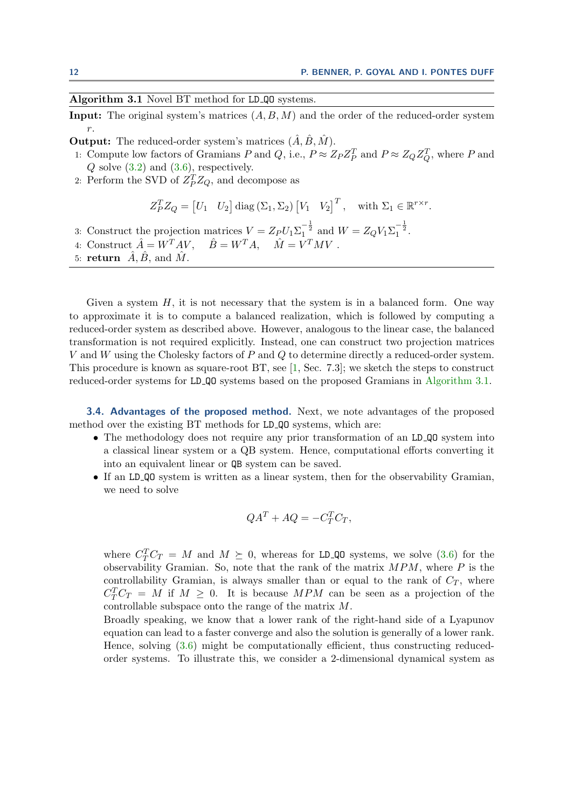## <span id="page-11-0"></span>Algorithm 3.1 Novel BT method for LD<sub>-QO</sub> systems.

**Input:** The original system's matrices  $(A, B, M)$  and the order of the reduced-order system r.

- **Output:** The reduced-order system's matrices  $(\hat{A}, \hat{B}, \hat{M})$ .
- 1: Compute low factors of Gramians P and Q, i.e.,  $P \approx Z_P Z_P^T$  and  $P \approx Z_Q Z_Q^T$ , where P and  $Q$  solve  $(3.2)$  and  $(3.6)$ , respectively.
- 2: Perform the SVD of  $Z_P^T Z_Q$ , and decompose as

$$
Z_P^T Z_Q = [U_1 \quad U_2] \operatorname{diag} (\Sigma_1, \Sigma_2) [V_1 \quad V_2]^T, \quad \text{with } \Sigma_1 \in \mathbb{R}^{r \times r}.
$$

- 3: Construct the projection matrices  $V = Z_P U_1 \Sigma_1^{-\frac{1}{2}}$  and  $W = Z_Q V_1 \Sigma_1^{-\frac{1}{2}}$ .
- 4: Construct  $\hat{A} = W^T A V$ ,  $\hat{B} = W^T A$ ,  $\hat{M} = V^T M V$ .
- 5: return  $\hat{A}, \hat{B}$ , and  $\hat{M}$ .

Given a system  $H$ , it is not necessary that the system is in a balanced form. One way to approximate it is to compute a balanced realization, which is followed by computing a reduced-order system as described above. However, analogous to the linear case, the balanced transformation is not required explicitly. Instead, one can construct two projection matrices V and W using the Cholesky factors of P and Q to determine directly a reduced-order system. This procedure is known as square-root BT, see [\[1,](#page-21-0) Sec. 7.3]; we sketch the steps to construct reduced-order systems for LD QO systems based on the proposed Gramians in [Algorithm 3.1.](#page-11-0)

3.4. Advantages of the proposed method. Next, we note advantages of the proposed method over the existing BT methods for LD QO systems, which are:

- The methodology does not require any prior transformation of an LD Q q system into a classical linear system or a QB system. Hence, computational efforts converting it into an equivalent linear or QB system can be saved.
- If an LD QO system is written as a linear system, then for the observability Gramian, we need to solve

$$
QA^T + AQ = -C_T^T C_T,
$$

where  $C_T^T C_T = M$  and  $M \succeq 0$ , whereas for LD\_QO systems, we solve [\(3.6\)](#page-7-3) for the observability Gramian. So, note that the rank of the matrix  $MPM$ , where P is the controllability Gramian, is always smaller than or equal to the rank of  $C_T$ , where  $C_T^T C_T = M$  if  $M \geq 0$ . It is because MPM can be seen as a projection of the controllable subspace onto the range of the matrix M.

Broadly speaking, we know that a lower rank of the right-hand side of a Lyapunov equation can lead to a faster converge and also the solution is generally of a lower rank. Hence, solving [\(3.6\)](#page-7-3) might be computationally efficient, thus constructing reducedorder systems. To illustrate this, we consider a 2-dimensional dynamical system as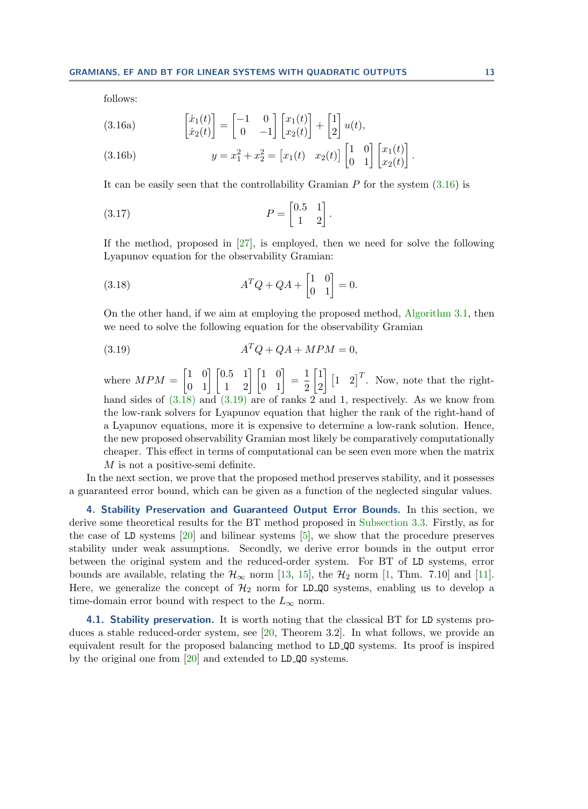<span id="page-12-1"></span>follows:

(3.16a) 
$$
\begin{bmatrix} \dot{x}_1(t) \\ \dot{x}_2(t) \end{bmatrix} = \begin{bmatrix} -1 & 0 \\ 0 & -1 \end{bmatrix} \begin{bmatrix} x_1(t) \\ x_2(t) \end{bmatrix} + \begin{bmatrix} 1 \\ 2 \end{bmatrix} u(t),
$$

(3.16b) 
$$
y = x_1^2 + x_2^2 = [x_1(t) \quad x_2(t)] \begin{bmatrix} 1 & 0 \\ 0 & 1 \end{bmatrix} \begin{bmatrix} x_1(t) \\ x_2(t) \end{bmatrix}.
$$

It can be easily seen that the controllability Gramian  $P$  for the system  $(3.16)$  is

$$
(3.17)\qquad \qquad P = \begin{bmatrix} 0.5 & 1 \\ 1 & 2 \end{bmatrix}
$$

If the method, proposed in [\[27\]](#page-22-1), is employed, then we need for solve the following Lyapunov equation for the observability Gramian:

<span id="page-12-2"></span>.

(3.18) 
$$
A^T Q + QA + \begin{bmatrix} 1 & 0 \\ 0 & 1 \end{bmatrix} = 0.
$$

On the other hand, if we aim at employing the proposed method, [Algorithm 3.1,](#page-11-0) then we need to solve the following equation for the observability Gramian

<span id="page-12-3"></span>
$$
(3.19) \t\t ATQ + QA + MPM = 0,
$$

where  $MPM = \begin{bmatrix} 1 & 0 \\ 0 & 1 \end{bmatrix} \begin{bmatrix} 0.5 & 1 \\ 1 & 2 \end{bmatrix} \begin{bmatrix} 1 & 0 \\ 0 & 1 \end{bmatrix} = \frac{1}{2}$ 2  $\lceil 1 \rceil$ 2  $\left[1 \quad 2\right]^T$ . Now, note that the righthand sides of  $(3.18)$  and  $(3.19)$  are of ranks 2 and 1, respectively. As we know from the low-rank solvers for Lyapunov equation that higher the rank of the right-hand of a Lyapunov equations, more it is expensive to determine a low-rank solution. Hence, the new proposed observability Gramian most likely be comparatively computationally cheaper. This effect in terms of computational can be seen even more when the matrix M is not a positive-semi definite.

In the next section, we prove that the proposed method preserves stability, and it possesses a guaranteed error bound, which can be given as a function of the neglected singular values.

<span id="page-12-0"></span>4. Stability Preservation and Guaranteed Output Error Bounds. In this section, we derive some theoretical results for the BT method proposed in [Subsection 3.3.](#page-10-1) Firstly, as for the case of LD systems [\[20\]](#page-21-14) and bilinear systems [\[5\]](#page-21-15), we show that the procedure preserves stability under weak assumptions. Secondly, we derive error bounds in the output error between the original system and the reduced-order system. For BT of LD systems, error bounds are available, relating the  $\mathcal{H}_{\infty}$  norm [\[13,](#page-21-16) [15\]](#page-21-17), the  $\mathcal{H}_{2}$  norm [\[1,](#page-21-0) Thm. 7.10] and [\[11\]](#page-21-18). Here, we generalize the concept of  $\mathcal{H}_2$  norm for LD QO systems, enabling us to develop a time-domain error bound with respect to the  $L_{\infty}$  norm.

<span id="page-12-4"></span>4.1. Stability preservation. It is worth noting that the classical BT for LD systems produces a stable reduced-order system, see [\[20,](#page-21-14) Theorem 3.2]. In what follows, we provide an equivalent result for the proposed balancing method to LD QO systems. Its proof is inspired by the original one from [\[20\]](#page-21-14) and extended to LD QO systems.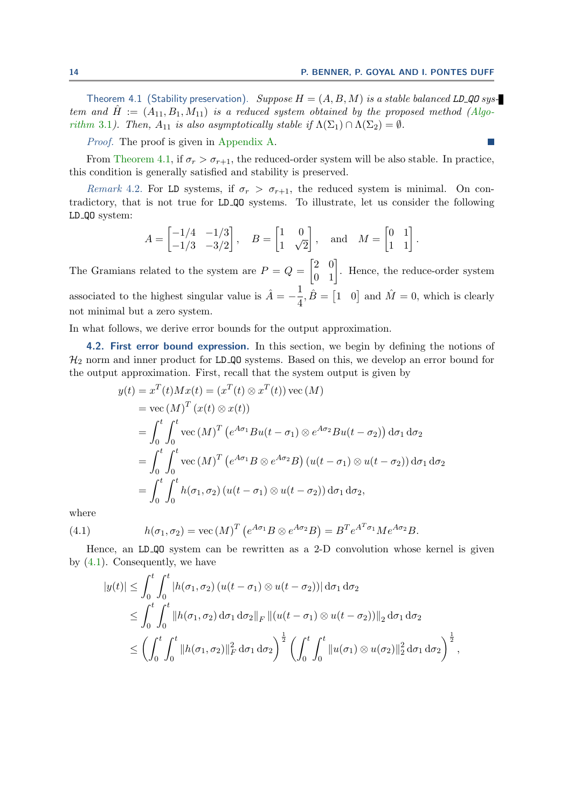$\sim$ 

Theorem 4.1 (Stability preservation). Suppose  $H = (A, B, M)$  is a stable balanced LD QO system and  $\hat{H} := (A_{11}, B_1, M_{11})$  is a reduced system obtained by the proposed method [\(Algo](#page-11-0)[rithm](#page-11-0) 3.1). Then,  $A_{11}$  is also asymptotically stable if  $\Lambda(\Sigma_1) \cap \Lambda(\Sigma_2) = \emptyset$ .

Proof. The proof is given in [Appendix A.](#page-22-3)

From [Theorem 4.1,](#page-12-4) if  $\sigma_r > \sigma_{r+1}$ , the reduced-order system will be also stable. In practice, this condition is generally satisfied and stability is preserved.

Remark 4.2. For LD systems, if  $\sigma_r > \sigma_{r+1}$ , the reduced system is minimal. On contradictory, that is not true for LD QO systems. To illustrate, let us consider the following LD QO system:

$$
A = \begin{bmatrix} -1/4 & -1/3 \\ -1/3 & -3/2 \end{bmatrix}, \quad B = \begin{bmatrix} 1 & 0 \\ 1 & \sqrt{2} \end{bmatrix}, \quad \text{and} \quad M = \begin{bmatrix} 0 & 1 \\ 1 & 1 \end{bmatrix}.
$$

The Gramians related to the system are  $P = Q = \begin{bmatrix} 2 & 0 \\ 0 & 1 \end{bmatrix}$ . Hence, the reduce-order system associated to the highest singular value is  $\hat{A} = -\frac{1}{4}$  $\frac{1}{4}$ ,  $\hat{B} = \begin{bmatrix} 1 & 0 \end{bmatrix}$  and  $\hat{M} = 0$ , which is clearly not minimal but a zero system.

In what follows, we derive error bounds for the output approximation.

4.2. First error bound expression. In this section, we begin by defining the notions of  $\mathcal{H}_2$  norm and inner product for LD QO systems. Based on this, we develop an error bound for the output approximation. First, recall that the system output is given by

$$
y(t) = x^{T}(t)Mx(t) = (x^{T}(t) \otimes x^{T}(t)) \text{ vec}(M)
$$
  
\n
$$
= \text{ vec}(M)^{T}(x(t) \otimes x(t))
$$
  
\n
$$
= \int_{0}^{t} \int_{0}^{t} \text{ vec}(M)^{T} (e^{A\sigma_{1}}Bu(t - \sigma_{1}) \otimes e^{A\sigma_{2}}Bu(t - \sigma_{2})) d\sigma_{1} d\sigma_{2}
$$
  
\n
$$
= \int_{0}^{t} \int_{0}^{t} \text{ vec}(M)^{T} (e^{A\sigma_{1}}B \otimes e^{A\sigma_{2}}B) (u(t - \sigma_{1}) \otimes u(t - \sigma_{2})) d\sigma_{1} d\sigma_{2}
$$
  
\n
$$
= \int_{0}^{t} \int_{0}^{t} h(\sigma_{1}, \sigma_{2}) (u(t - \sigma_{1}) \otimes u(t - \sigma_{2})) d\sigma_{1} d\sigma_{2},
$$

where

(4.1) 
$$
h(\sigma_1, \sigma_2) = \text{vec}(M)^T \left( e^{A\sigma_1} B \otimes e^{A\sigma_2} B \right) = B^T e^{A^T \sigma_1} M e^{A\sigma_2} B.
$$

Hence, an LD QO system can be rewritten as a 2-D convolution whose kernel is given by [\(4.1\)](#page-13-0). Consequently, we have

<span id="page-13-0"></span>
$$
|y(t)| \leq \int_0^t \int_0^t |h(\sigma_1, \sigma_2) (u(t - \sigma_1) \otimes u(t - \sigma_2))| d\sigma_1 d\sigma_2
$$
  
\n
$$
\leq \int_0^t \int_0^t ||h(\sigma_1, \sigma_2) d\sigma_1 d\sigma_2||_F ||(u(t - \sigma_1) \otimes u(t - \sigma_2))||_2 d\sigma_1 d\sigma_2
$$
  
\n
$$
\leq \left(\int_0^t \int_0^t ||h(\sigma_1, \sigma_2)||_F^2 d\sigma_1 d\sigma_2\right)^{\frac{1}{2}} \left(\int_0^t \int_0^t ||u(\sigma_1) \otimes u(\sigma_2)||_2^2 d\sigma_1 d\sigma_2\right)^{\frac{1}{2}},
$$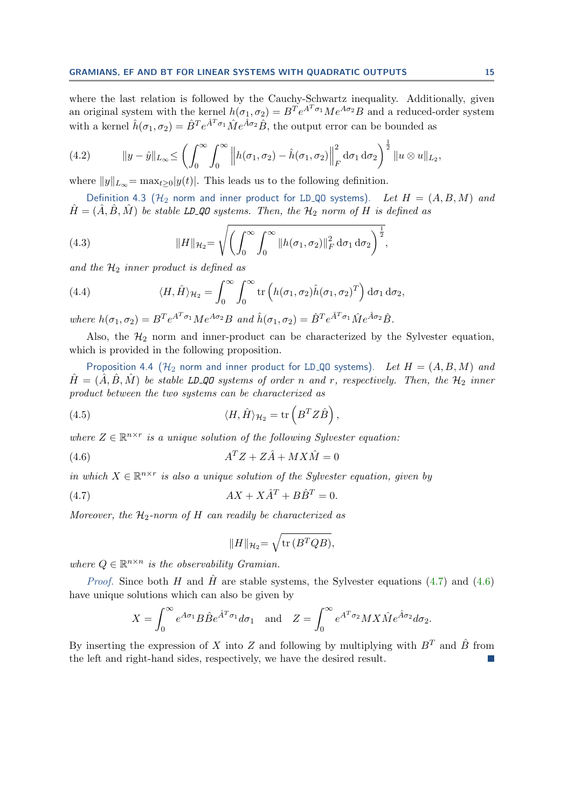where the last relation is followed by the Cauchy-Schwartz inequality. Additionally, given an original system with the kernel  $h(\sigma_1, \sigma_2) = B^T e^{A^T \sigma_1} M e^{A \sigma_2} B$  and a reduced-order system with a kernel  $\hat{h}(\sigma_1,\sigma_2) = \hat{B}^T e^{\hat{A}^T \sigma_1} \hat{M} e^{\hat{A}\sigma_2} \hat{B}$ , the output error can be bounded as

<span id="page-14-2"></span>(4.2) 
$$
\|y-\hat{y}\|_{L_{\infty}} \leq \left(\int_0^{\infty} \int_0^{\infty} \left\|h(\sigma_1,\sigma_2)-\hat{h}(\sigma_1,\sigma_2)\right\|_F^2 d\sigma_1 d\sigma_2\right)^{\frac{1}{2}} \|u\otimes u\|_{L_2},
$$

where  $||y||_{L_{\infty}} = \max_{t \geq 0} |y(t)|$ . This leads us to the following definition.

Definition 4.3 ( $\mathcal{H}_2$  norm and inner product for LD\_QO systems). Let  $H = (A, B, M)$  and  $H = (A, B, M)$  be stable LD\_QO systems. Then, the  $\mathcal{H}_2$  norm of H is defined as

(4.3) 
$$
||H||_{\mathcal{H}_2} = \sqrt{\left(\int_0^\infty \int_0^\infty ||h(\sigma_1, \sigma_2)||_F^2 d\sigma_1 d\sigma_2\right)^{\frac{1}{2}}},
$$

and the  $\mathcal{H}_2$  inner product is defined as

(4.4) 
$$
\langle H, \hat{H} \rangle_{\mathcal{H}_2} = \int_0^\infty \int_0^\infty \text{tr}\left( h(\sigma_1, \sigma_2) \hat{h}(\sigma_1, \sigma_2)^T \right) d\sigma_1 d\sigma_2,
$$

where  $h(\sigma_1, \sigma_2) = B^T e^{A^T \sigma_1} M e^{A \sigma_2} B$  and  $\hat{h}(\sigma_1, \sigma_2) = \hat{B}^T e^{\hat{A}^T \sigma_1} \hat{M} e^{\hat{A} \sigma_2} \hat{B}$ .

Also, the  $H_2$  norm and inner-product can be characterized by the Sylvester equation, which is provided in the following proposition.

<span id="page-14-3"></span>Proposition 4.4 ( $\mathcal{H}_2$  norm and inner product for LD\_QO systems). Let  $H = (A, B, M)$  and  $H = (A, B, M)$  be stable LD\_QO systems of order n and r, respectively. Then, the  $\mathcal{H}_2$  inner product between the two systems can be characterized as

(4.5) 
$$
\langle H, \hat{H} \rangle_{\mathcal{H}_2} = \text{tr}\left(B^T Z \hat{B}\right),
$$

where  $Z \in \mathbb{R}^{n \times r}$  is a unique solution of the following Sylvester equation:

$$
(4.6) \t\t\t AT Z + Z\hat{A} + M X \hat{M} = 0
$$

in which  $X \in \mathbb{R}^{n \times r}$  is also a unique solution of the Sylvester equation, given by

$$
(4.7) \t\t\t AX + X\hat{A}^T + B\hat{B}^T = 0.
$$

Moreover, the  $\mathcal{H}_2$ -norm of H can readily be characterized as

<span id="page-14-1"></span><span id="page-14-0"></span>
$$
||H||_{\mathcal{H}_2} = \sqrt{\text{tr}(B^TQB)},
$$

where  $Q \in \mathbb{R}^{n \times n}$  is the observability Gramian.

*Proof.* Since both H and  $\hat{H}$  are stable systems, the Sylvester equations [\(4.7\)](#page-14-0) and [\(4.6\)](#page-14-1) have unique solutions which can also be given by

$$
X = \int_0^\infty e^{A\sigma_1} B \hat{B} e^{\hat{A}^T \sigma_1} d\sigma_1 \quad \text{and} \quad Z = \int_0^\infty e^{A^T \sigma_2} M X \hat{M} e^{\hat{A}\sigma_2} d\sigma_2.
$$

By inserting the expression of X into Z and following by multiplying with  $B<sup>T</sup>$  and  $\hat{B}$  from the left and right-hand sides, respectively, we have the desired result.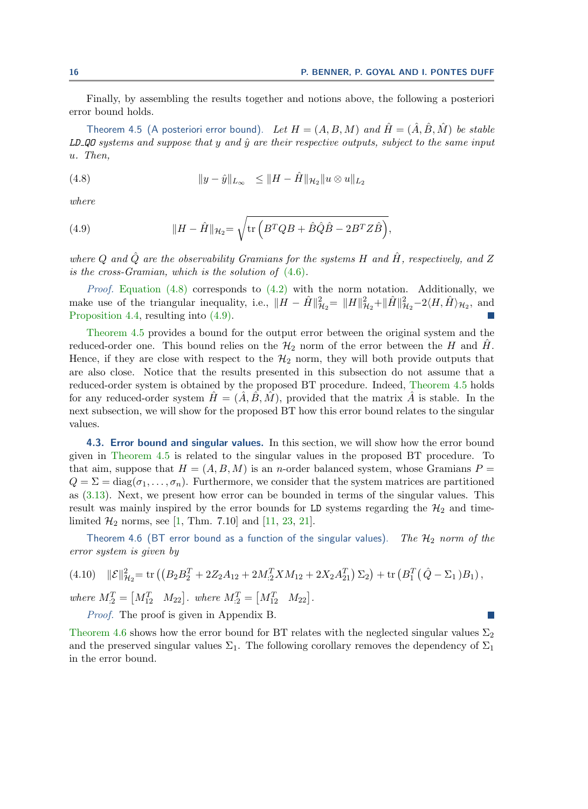<span id="page-15-2"></span>Finally, by assembling the results together and notions above, the following a posteriori error bound holds.

Theorem 4.5 (A posteriori error bound). Let  $H = (A, B, M)$  and  $\hat{H} = (\hat{A}, \hat{B}, \hat{M})$  be stable LD  $QQ$  systems and suppose that y and  $\hat{y}$  are their respective outputs, subject to the same input u. Then,

<span id="page-15-0"></span>(4.8) 
$$
||y - \hat{y}||_{L_{\infty}} \leq ||H - \hat{H}||_{\mathcal{H}_2} ||u \otimes u||_{L_2}
$$

where

<span id="page-15-1"></span>(4.9) 
$$
||H - \hat{H}||_{\mathcal{H}_2} = \sqrt{\text{tr}\left(B^TQB + \hat{B}\hat{Q}\hat{B} - 2B^TZ\hat{B}\right)},
$$

where  $Q$  and  $\hat{Q}$  are the observability Gramians for the systems H and  $\hat{H}$ , respectively, and Z is the cross-Gramian, which is the solution of [\(4.6\)](#page-14-1).

*Proof.* Equation  $(4.8)$  corresponds to  $(4.2)$  with the norm notation. Additionally, we make use of the triangular inequality, i.e.,  $||H - \hat{H}||_{\mathcal{H}_2}^2 = ||H||_{\mathcal{H}_2}^2 + ||\hat{H}||_{\mathcal{H}_2}^2 - 2\langle H, \hat{H} \rangle_{\mathcal{H}_2}$ , and [Proposition 4.4,](#page-14-3) resulting into [\(4.9\).](#page-15-1)

[Theorem 4.5](#page-15-2) provides a bound for the output error between the original system and the reduced-order one. This bound relies on the  $H_2$  norm of the error between the H and  $\hat{H}$ . Hence, if they are close with respect to the  $\mathcal{H}_2$  norm, they will both provide outputs that are also close. Notice that the results presented in this subsection do not assume that a reduced-order system is obtained by the proposed BT procedure. Indeed, [Theorem 4.5](#page-15-2) holds for any reduced-order system  $H = (\tilde{A}, \tilde{B}, \tilde{M})$ , provided that the matrix  $\tilde{A}$  is stable. In the next subsection, we will show for the proposed BT how this error bound relates to the singular values.

4.3. Error bound and singular values. In this section, we will show how the error bound given in [Theorem 4.5](#page-15-2) is related to the singular values in the proposed BT procedure. To that aim, suppose that  $H = (A, B, M)$  is an *n*-order balanced system, whose Gramians  $P =$  $Q = \Sigma = \text{diag}(\sigma_1, \ldots, \sigma_n)$ . Furthermore, we consider that the system matrices are partitioned as [\(3.13\)](#page-10-2). Next, we present how error can be bounded in terms of the singular values. This result was mainly inspired by the error bounds for LD systems regarding the  $\mathcal{H}_2$  and timelimited  $H_2$  norms, see [\[1,](#page-21-0) Thm. 7.10] and [\[11,](#page-21-18) [23,](#page-21-19) [21\]](#page-21-20).

Theorem 4.6 (BT error bound as a function of the singular values). The  $\mathcal{H}_2$  norm of the error system is given by

$$
(4.10) \quad \|\mathcal{E}\|_{\mathcal{H}_2}^2 = \text{tr}\left(\left(B_2B_2^T + 2Z_2A_{12} + 2M_{:2}^TXM_{12} + 2X_2A_{21}^T\right)\Sigma_2\right) + \text{tr}\left(B_1^T\left(\hat{Q} - \Sigma_1\right)B_1\right),
$$

where  $M_{:2}^T = [M_{12}^T \quad M_{22}]$ . where  $M_{:2}^T = [M_{12}^T \quad M_{22}]$ .

<span id="page-15-4"></span>Proof. The proof is given in Appendix B.

[Theorem 4.6](#page-15-3) shows how the error bound for BT relates with the neglected singular values  $\Sigma_2$ and the preserved singular values  $\Sigma_1$ . The following corollary removes the dependency of  $\Sigma_1$ in the error bound.

<span id="page-15-3"></span>
$$
\mathbb{Z}^{\mathbb{Z}}
$$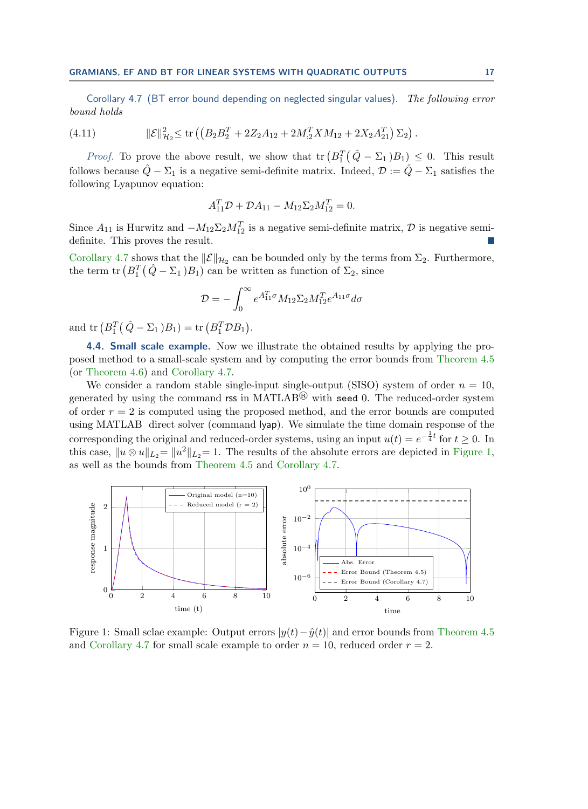Corollary 4.7 (BT error bound depending on neglected singular values). The following error bound holds

(4.11) 
$$
\|\mathcal{E}\|_{\mathcal{H}_2}^2 \le \text{tr}\left( \left( B_2 B_2^T + 2 Z_2 A_{12} + 2 M_{12}^T X M_{12} + 2 X_2 A_{21}^T \right) \Sigma_2 \right).
$$

*Proof.* To prove the above result, we show that  $tr (B_1^T (\hat{Q} - \Sigma_1) B_1) \leq 0$ . This result follows because  $\hat{Q} - \Sigma_1$  is a negative semi-definite matrix. Indeed,  $\mathcal{D} := \hat{Q} - \Sigma_1$  satisfies the following Lyapunov equation:

$$
A_{11}^T \mathcal{D} + \mathcal{D}A_{11} - M_{12} \Sigma_2 M_{12}^T = 0.
$$

Since  $A_{11}$  is Hurwitz and  $-M_{12}\Sigma_2M_{12}^T$  is a negative semi-definite matrix,  $\mathcal D$  is negative semidefinite. This proves the result.

[Corollary 4.7](#page-15-4) shows that the  $\|\mathcal{E}\|_{\mathcal{H}_2}$  can be bounded only by the terms from  $\Sigma_2$ . Furthermore, the term  $\text{tr} (B_1^T (\hat{Q} - \Sigma_1) B_1)$  can be written as function of  $\Sigma_2$ , since

$$
\mathcal{D}=-\int_0^\infty e^{A_{11}^T\sigma}M_{12}\Sigma_2M_{12}^Te^{A_{11}\sigma}d\sigma
$$

and tr  $(B_1^T (\hat{Q} - \Sigma_1) B_1) = \text{tr}(B_1^T \mathcal{D} B_1).$ 

4.4. **Small scale example.** Now we illustrate the obtained results by applying the proposed method to a small-scale system and by computing the error bounds from [Theorem 4.5](#page-15-2) (or [Theorem 4.6\)](#page-15-3) and [Corollary 4.7.](#page-15-4)

We consider a random stable single-input single-output (SISO) system of order  $n = 10$ , generated by using the command rss in MATLAB<sup> $\circledR$ </sup> with seed 0. The reduced-order system of order  $r = 2$  is computed using the proposed method, and the error bounds are computed using MATLAB direct solver (command lyap). We simulate the time domain response of the corresponding the original and reduced-order systems, using an input  $u(t) = e^{-\frac{1}{4}t}$  for  $t \ge 0$ . In this case,  $||u \otimes u||_{L_2} = ||u^2||_{L_2} = 1$ . The results of the absolute errors are depicted in [Figure 1,](#page-16-0) as well as the bounds from [Theorem 4.5](#page-15-2) and [Corollary 4.7.](#page-15-4)

<span id="page-16-0"></span>

Figure 1: Small sclae example: Output errors  $|y(t)-\hat{y}(t)|$  and error bounds from [Theorem 4.5](#page-15-2) and [Corollary 4.7](#page-15-4) for small scale example to order  $n = 10$ , reduced order  $r = 2$ .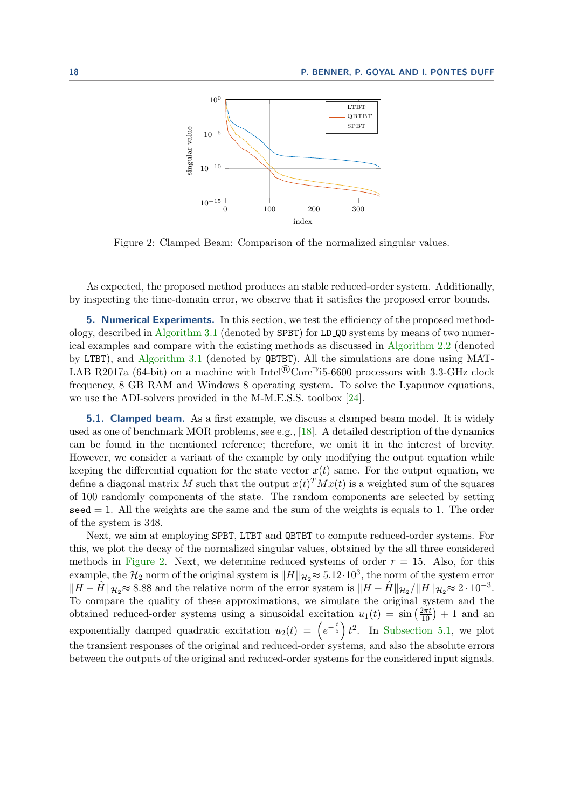<span id="page-17-1"></span>

Figure 2: Clamped Beam: Comparison of the normalized singular values.

As expected, the proposed method produces an stable reduced-order system. Additionally, by inspecting the time-domain error, we observe that it satisfies the proposed error bounds.

<span id="page-17-0"></span>5. Numerical Experiments. In this section, we test the efficiency of the proposed methodology, described in [Algorithm 3.1](#page-11-0) (denoted by SPBT) for LD QO systems by means of two numerical examples and compare with the existing methods as discussed in [Algorithm 2.2](#page-4-0) (denoted by LTBT), and [Algorithm 3.1](#page-11-0) (denoted by QBTBT). All the simulations are done using MAT-LAB R2017a (64-bit) on a machine with Intel<sup>®</sup>Core<sup>™</sup>i5-6600 processors with 3.3-GHz clock frequency, 8 GB RAM and Windows 8 operating system. To solve the Lyapunov equations, we use the ADI-solvers provided in the M-M.E.S.S. toolbox [\[24\]](#page-21-21).

**5.1. Clamped beam.** As a first example, we discuss a clamped beam model. It is widely used as one of benchmark MOR problems, see e.g., [\[18\]](#page-21-22). A detailed description of the dynamics can be found in the mentioned reference; therefore, we omit it in the interest of brevity. However, we consider a variant of the example by only modifying the output equation while keeping the differential equation for the state vector  $x(t)$  same. For the output equation, we define a diagonal matrix M such that the output  $x(t)^T M x(t)$  is a weighted sum of the squares of 100 randomly components of the state. The random components are selected by setting  $\texttt{seed} = 1$ . All the weights are the same and the sum of the weights is equals to 1. The order of the system is 348.

Next, we aim at employing SPBT, LTBT and QBTBT to compute reduced-order systems. For this, we plot the decay of the normalized singular values, obtained by the all three considered methods in [Figure 2.](#page-17-1) Next, we determine reduced systems of order  $r = 15$ . Also, for this example, the  $\mathcal{H}_2$  norm of the original system is  $\|H\|_{\mathcal{H}_2} \approx 5.12 \cdot 10^3$ , the norm of the system error  $\|H - \hat{H}\|_{\mathcal{H}_2} \approx 8.88$  and the relative norm of the error system is  $\|H - \hat{H}\|_{\mathcal{H}_2}/\|H\|_{\mathcal{H}_2} \approx 2 \cdot 10^{-3}$ . To compare the quality of these approximations, we simulate the original system and the obtained reduced-order systems using a sinusoidal excitation  $u_1(t) = \sin\left(\frac{2\pi t}{10}\right) + 1$  and an exponentially damped quadratic excitation  $u_2(t) = \left(e^{-\frac{t}{5}}\right)t^2$ . In [Subsection 5.1,](#page-18-0) we plot the transient responses of the original and reduced-order systems, and also the absolute errors between the outputs of the original and reduced-order systems for the considered input signals.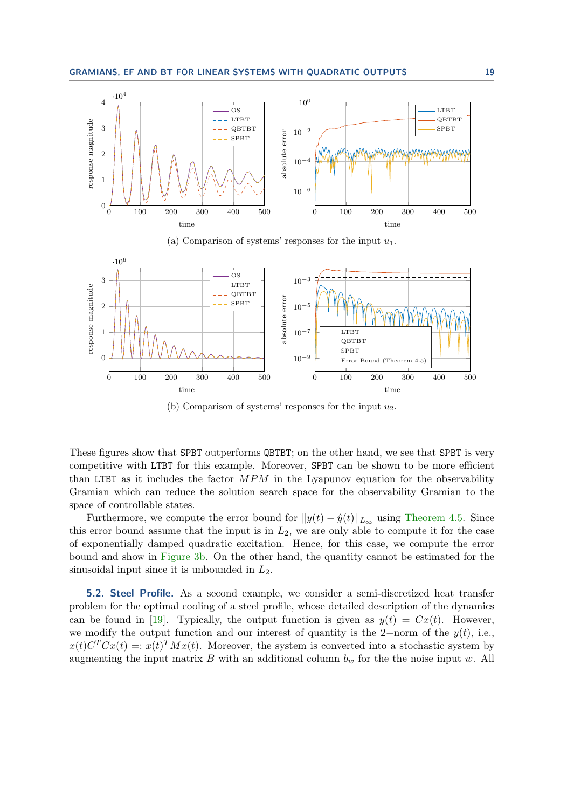<span id="page-18-0"></span>

(a) Comparison of systems' responses for the input  $u_1$ .



(b) Comparison of systems' responses for the input  $u_2$ .

These figures show that SPBT outperforms QBTBT; on the other hand, we see that SPBT is very competitive with LTBT for this example. Moreover, SPBT can be shown to be more efficient than LTBT as it includes the factor  $MPM$  in the Lyapunov equation for the observability Gramian which can reduce the solution search space for the observability Gramian to the space of controllable states.

Furthermore, we compute the error bound for  $||y(t) - \hat{y}(t)||_{L_{\infty}}$  using [Theorem 4.5.](#page-15-2) Since this error bound assume that the input is in  $L_2$ , we are only able to compute it for the case of exponentially damped quadratic excitation. Hence, for this case, we compute the error bound and show in [Figure 3b.](#page-18-0) On the other hand, the quantity cannot be estimated for the sinusoidal input since it is unbounded in  $L_2$ .

5.2. Steel Profile. As a second example, we consider a semi-discretized heat transfer problem for the optimal cooling of a steel profile, whose detailed description of the dynamics can be found in [\[19\]](#page-21-23). Typically, the output function is given as  $y(t) = Cx(t)$ . However, we modify the output function and our interest of quantity is the 2−norm of the  $y(t)$ , i.e.,  $x(t)C<sup>T</sup>Cx(t) =: x(t)<sup>T</sup>Mx(t)$ . Moreover, the system is converted into a stochastic system by augmenting the input matrix  $B$  with an additional column  $b_w$  for the the noise input w. All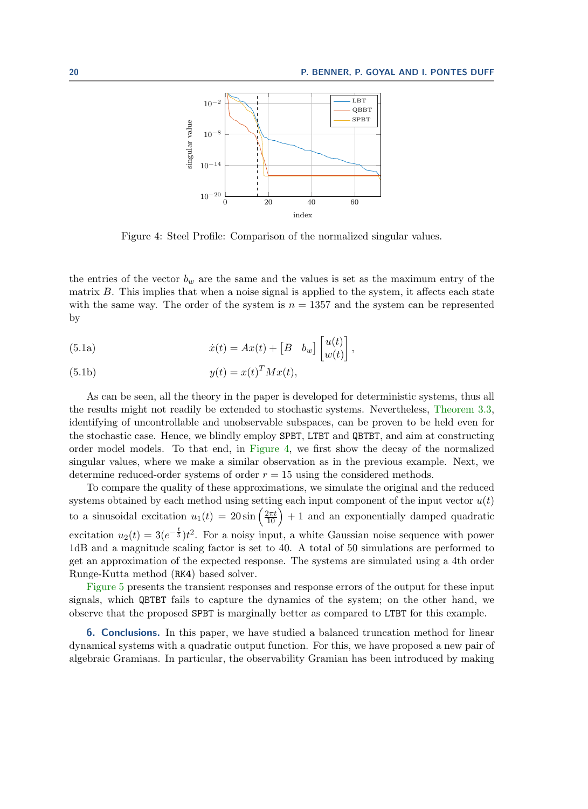<span id="page-19-1"></span>

Figure 4: Steel Profile: Comparison of the normalized singular values.

the entries of the vector  $b_w$  are the same and the values is set as the maximum entry of the matrix B. This implies that when a noise signal is applied to the system, it affects each state with the same way. The order of the system is  $n = 1357$  and the system can be represented by

(5.1a) 
$$
\dot{x}(t) = Ax(t) + \begin{bmatrix} B & b_w \end{bmatrix} \begin{bmatrix} u(t) \\ w(t) \end{bmatrix},
$$

(5.1b) 
$$
y(t) = x(t)^T M x(t),
$$

As can be seen, all the theory in the paper is developed for deterministic systems, thus all the results might not readily be extended to stochastic systems. Nevertheless, [Theorem 3.3,](#page-9-1) identifying of uncontrollable and unobservable subspaces, can be proven to be held even for the stochastic case. Hence, we blindly employ SPBT, LTBT and QBTBT, and aim at constructing order model models. To that end, in [Figure 4,](#page-19-1) we first show the decay of the normalized singular values, where we make a similar observation as in the previous example. Next, we determine reduced-order systems of order  $r = 15$  using the considered methods.

To compare the quality of these approximations, we simulate the original and the reduced systems obtained by each method using setting each input component of the input vector  $u(t)$ to a sinusoidal excitation  $u_1(t) = 20 \sin\left(\frac{2\pi t}{10}\right) + 1$  and an exponentially damped quadratic excitation  $u_2(t) = 3(e^{-\frac{t}{5}})t^2$ . For a noisy input, a white Gaussian noise sequence with power 1dB and a magnitude scaling factor is set to 40. A total of 50 simulations are performed to get an approximation of the expected response. The systems are simulated using a 4th order Runge-Kutta method (RK4) based solver.

[Figure 5](#page-20-0) presents the transient responses and response errors of the output for these input signals, which QBTBT fails to capture the dynamics of the system; on the other hand, we observe that the proposed SPBT is marginally better as compared to LTBT for this example.

<span id="page-19-0"></span>6. Conclusions. In this paper, we have studied a balanced truncation method for linear dynamical systems with a quadratic output function. For this, we have proposed a new pair of algebraic Gramians. In particular, the observability Gramian has been introduced by making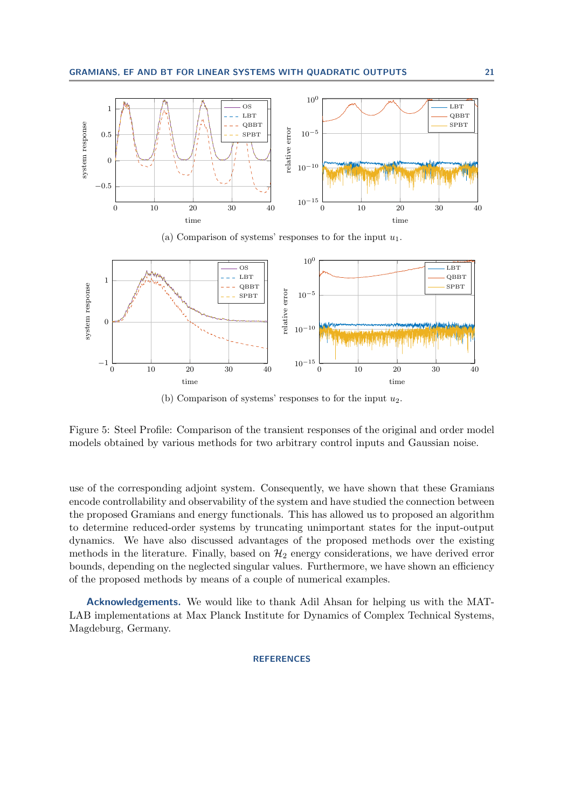<span id="page-20-0"></span>

(a) Comparison of systems' responses to for the input  $u_1$ .



(b) Comparison of systems' responses to for the input  $u_2$ .

Figure 5: Steel Profile: Comparison of the transient responses of the original and order model models obtained by various methods for two arbitrary control inputs and Gaussian noise.

use of the corresponding adjoint system. Consequently, we have shown that these Gramians encode controllability and observability of the system and have studied the connection between the proposed Gramians and energy functionals. This has allowed us to proposed an algorithm to determine reduced-order systems by truncating unimportant states for the input-output dynamics. We have also discussed advantages of the proposed methods over the existing methods in the literature. Finally, based on  $\mathcal{H}_2$  energy considerations, we have derived error bounds, depending on the neglected singular values. Furthermore, we have shown an efficiency of the proposed methods by means of a couple of numerical examples.

Acknowledgements. We would like to thank Adil Ahsan for helping us with the MAT-LAB implementations at Max Planck Institute for Dynamics of Complex Technical Systems, Magdeburg, Germany.

## **REFERENCES**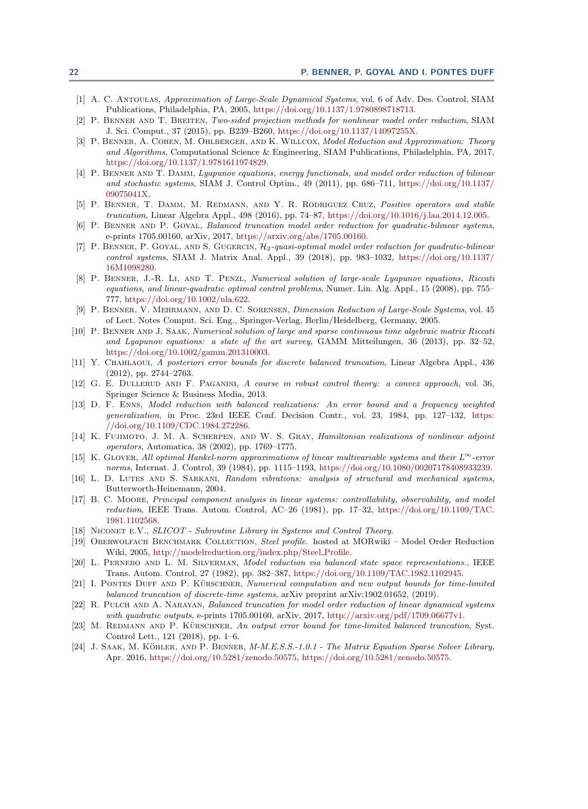- <span id="page-21-0"></span>[1] A. C. Antoulas, Approximation of Large-Scale Dynamical Systems, vol. 6 of Adv. Des. Control, SIAM Publications, Philadelphia, PA, 2005, [https://doi.org/10.1137/1.9780898718713.](https://doi.org/10.1137/1.9780898718713)
- <span id="page-21-10"></span>[2] P. Benner and T. Breiten, Two-sided projection methods for nonlinear model order reduction, SIAM J. Sci. Comput., 37 (2015), pp. B239–B260, [https://doi.org/10.1137/14097255X.](https://doi.org/10.1137/14097255X)
- <span id="page-21-1"></span>[3] P. BENNER, A. COHEN, M. OHLBERGER, AND K. WILLCOX, Model Reduction and Approximation: Theory and Algorithms, Computational Science & Engineering, SIAM Publications, Philadelphia, PA, 2017, [https://doi.org/10.1137/1.9781611974829.](https://doi.org/10.1137/1.9781611974829)
- <span id="page-21-12"></span>[4] P. Benner and T. Damm, Lyapunov equations, energy functionals, and model order reduction of bilinear and stochastic systems, SIAM J. Control Optim., 49 (2011), pp. 686–711, [https://doi.org/10.1137/](https://doi.org/10.1137/09075041X) [09075041X.](https://doi.org/10.1137/09075041X)
- <span id="page-21-15"></span>[5] P. Benner, T. Damm, M. Redmann, and Y. R. Rodriguez Cruz, Positive operators and stable truncation, Linear Algebra Appl., 498 (2016), pp. 74–87, [https://doi.org/10.1016/j.laa.2014.12.005.](https://doi.org/10.1016/j.laa.2014.12.005)
- <span id="page-21-5"></span>[6] P. BENNER AND P. GOYAL, Balanced truncation model order reduction for quadratic-bilinear systems, e-prints 1705.00160, arXiv, 2017, [https://arxiv.org/abs/1705.00160.](https://arxiv.org/abs/1705.00160)
- <span id="page-21-11"></span>[7] P. Benner, P. Goyal, and S. Gugercin, H2-quasi-optimal model order reduction for quadratic-bilinear control systems, SIAM J. Matrix Anal. Appl., 39 (2018), pp. 983–1032, [https://doi.org/10.1137/](https://doi.org/10.1137/16M1098280) [16M1098280.](https://doi.org/10.1137/16M1098280)
- <span id="page-21-8"></span>[8] P. Benner, J.-R. Li, and T. Penzl, Numerical solution of large-scale Lyapunov equations, Riccati equations, and linear-quadratic optimal control problems, Numer. Lin. Alg. Appl., 15 (2008), pp. 755– 777, [https://doi.org/10.1002/nla.622.](https://doi.org/10.1002/nla.622)
- <span id="page-21-2"></span>[9] P. Benner, V. Mehrmann, and D. C. Sorensen, Dimension Reduction of Large-Scale Systems, vol. 45 of Lect. Notes Comput. Sci. Eng., Springer-Verlag, Berlin/Heidelberg, Germany, 2005.
- <span id="page-21-9"></span>[10] P. Benner and J. Saak, Numerical solution of large and sparse continuous time algebraic matrix Riccati and Lyapunov equations: a state of the art survey, GAMM Mitteilungen, 36 (2013), pp. 32–52, [https://doi.org/10.1002/gamm.201310003.](https://doi.org/10.1002/gamm.201310003)
- <span id="page-21-18"></span>[11] Y. Chahlaoui, A posteriori error bounds for discrete balanced truncation, Linear Algebra Appl., 436 (2012), pp. 2744–2763.
- <span id="page-21-13"></span>[12] G. E. Dullerud and F. Paganini, A course in robust control theory: a convex approach, vol. 36, Springer Science & Business Media, 2013.
- <span id="page-21-16"></span>[13] D. F. Enns, Model reduction with balanced realizations: An error bound and a frequency weighted generalization, in Proc. 23rd IEEE Conf. Decision Contr., vol. 23, 1984, pp. 127–132, [https:](https://doi.org/10.1109/CDC.1984.272286) [//doi.org/10.1109/CDC.1984.272286.](https://doi.org/10.1109/CDC.1984.272286)
- <span id="page-21-7"></span>[14] K. FUJIMOTO, J. M. A. SCHERPEN, AND W. S. GRAY, Hamiltonian realizations of nonlinear adjoint operators, Automatica, 38 (2002), pp. 1769–1775.
- <span id="page-21-17"></span>[15] K. GLOVER, All optimal Hankel-norm approximations of linear multivariable systems and their  $L^{\infty}$ -error norms, Internat. J. Control, 39 (1984), pp. 1115–1193, [https://doi.org/10.1080/00207178408933239.](https://doi.org/10.1080/00207178408933239)
- <span id="page-21-3"></span>[16] L. D. LUTES AND S. SARKANI, Random vibrations: analysis of structural and mechanical systems, Butterworth-Heinemann, 2004.
- <span id="page-21-6"></span>[17] B. C. Moore, Principal component analysis in linear systems: controllability, observability, and model reduction, IEEE Trans. Autom. Control, AC–26 (1981), pp. 17–32, [https://doi.org/10.1109/TAC.](https://doi.org/10.1109/TAC.1981.1102568) [1981.1102568.](https://doi.org/10.1109/TAC.1981.1102568)
- <span id="page-21-22"></span>[18] NICONET E.V., SLICOT - Subroutine Library in Systems and Control Theory.
- <span id="page-21-23"></span>[19] Oberwolfach Benchmark Collection, Steel profile. hosted at MORwiki – Model Order Reduction Wiki, 2005, [http://modelreduction.org/index.php/Steel](http://modelreduction.org/index.php/Steel_Profile) Profile.
- <span id="page-21-14"></span>[20] L. Pernebo and L. M. Silverman, Model reduction via balanced state space representations., IEEE Trans. Autom. Control, 27 (1982), pp. 382–387, [https://doi.org/10.1109/TAC.1982.1102945.](https://doi.org/10.1109/TAC.1982.1102945)
- <span id="page-21-20"></span>[21] I. PONTES DUFF AND P. KÜRSCHNER, Numerical computation and new output bounds for time-limited balanced truncation of discrete-time systems, arXiv preprint arXiv:1902.01652, (2019).
- <span id="page-21-4"></span>[22] R. PULCH AND A. NARAYAN, Balanced truncation for model order reduction of linear dynamical systems with quadratic outputs, e-prints 1705.00160, arXiv, 2017, [http://arxiv.org/pdf/1709.06677v1.](http://arxiv.org/pdf/1709.06677v1)
- <span id="page-21-19"></span>[23] M. REDMANN AND P. KÜRSCHNER, An output error bound for time-limited balanced truncation, Syst. Control Lett., 121 (2018), pp. 1–6.
- <span id="page-21-21"></span>[24] J. SAAK, M. KÖHLER, AND P. BENNER, M-M.E.S.S.-1.0.1 - The Matrix Equation Sparse Solver Library, Apr. 2016, [https://doi.org/10.5281/zenodo.50575,](https://doi.org/10.5281/zenodo.50575) [https://doi.org/10.5281/zenodo.50575.](https://doi.org/10.5281/zenodo.50575)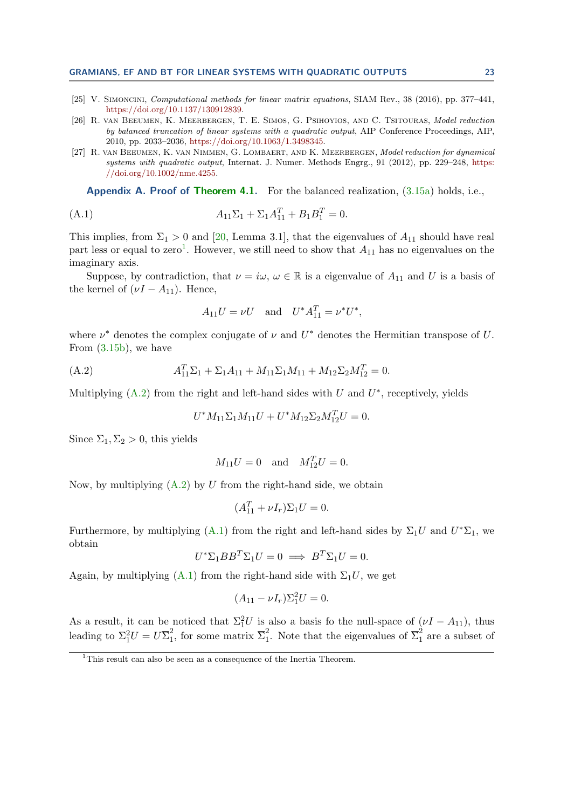- <span id="page-22-2"></span>[25] V. Simoncini, Computational methods for linear matrix equations, SIAM Rev., 38 (2016), pp. 377–441, [https://doi.org/10.1137/130912839.](https://doi.org/10.1137/130912839)
- <span id="page-22-0"></span>[26] R. van Beeumen, K. Meerbergen, T. E. Simos, G. Psihoyios, and C. Tsitouras, Model reduction by balanced truncation of linear systems with a quadratic output, AIP Conference Proceedings, AIP, 2010, pp. 2033–2036, [https://doi.org/10.1063/1.3498345.](https://doi.org/10.1063/1.3498345)
- <span id="page-22-1"></span>[27] R. van Beeumen, K. van Nimmen, G. Lombaert, and K. Meerbergen, Model reduction for dynamical systems with quadratic output, Internat. J. Numer. Methods Engrg., 91 (2012), pp. 229–248, [https:](https://doi.org/10.1002/nme.4255) [//doi.org/10.1002/nme.4255.](https://doi.org/10.1002/nme.4255)

<span id="page-22-3"></span>**Appendix A. Proof of [Theorem 4.1.](#page-12-4)** For the balanced realization,  $(3.15a)$  holds, i.e.,

(A.1) 
$$
A_{11}\Sigma_1 + \Sigma_1 A_{11}^T + B_1 B_1^T = 0.
$$

This implies, from  $\Sigma_1 > 0$  and [\[20,](#page-21-14) Lemma 3.1], that the eigenvalues of  $A_{11}$  should have real part less or equal to zero<sup>[1](#page-22-4)</sup>. However, we still need to show that  $A_{11}$  has no eigenvalues on the imaginary axis.

Suppose, by contradiction, that  $\nu = i\omega, \omega \in \mathbb{R}$  is a eigenvalue of  $A_{11}$  and U is a basis of the kernel of  $(\nu I - A_{11})$ . Hence,

<span id="page-22-6"></span>
$$
A_{11}U = \nu U
$$
 and  $U^*A_{11}^T = \nu^*U^*$ ,

where  $\nu^*$  denotes the complex conjugate of  $\nu$  and  $U^*$  denotes the Hermitian transpose of U. From [\(3.15b\)](#page-10-0), we have

(A.2) 
$$
A_{11}^T \Sigma_1 + \Sigma_1 A_{11} + M_{11} \Sigma_1 M_{11} + M_{12} \Sigma_2 M_{12}^T = 0.
$$

Multiplying  $(A.2)$  from the right and left-hand sides with U and  $U^*$ , receptively, yields

<span id="page-22-5"></span>
$$
U^* M_{11} \Sigma_1 M_{11} U + U^* M_{12} \Sigma_2 M_{12}^T U = 0.
$$

Since  $\Sigma_1$ ,  $\Sigma_2 > 0$ , this yields

$$
M_{11}U = 0
$$
 and  $M_{12}^T U = 0$ .

Now, by multiplying  $(A.2)$  by U from the right-hand side, we obtain

$$
(A_{11}^T + \nu I_r)\Sigma_1 U = 0.
$$

Furthermore, by multiplying [\(A.1\)](#page-22-6) from the right and left-hand sides by  $\Sigma_1 U$  and  $U^* \Sigma_1$ , we obtain

$$
U^* \Sigma_1 B B^T \Sigma_1 U = 0 \implies B^T \Sigma_1 U = 0.
$$

Again, by multiplying  $(A.1)$  from the right-hand side with  $\Sigma_1 U$ , we get

$$
(A_{11} - \nu I_r) \Sigma_1^2 U = 0.
$$

As a result, it can be noticed that  $\Sigma_1^2 U$  is also a basis fo the null-space of  $(\nu I - A_{11})$ , thus leading to  $\Sigma_1^2 U = U \overline{\Sigma}_1^2$ <sup>2</sup><sub>1</sub>, for some matrix  $\overline{\Sigma}_1^2$ <sup>2</sup><sub>1</sub>. Note that the eigenvalues of  $\overline{\Sigma}_{1}^{2}$  are a subset of

<span id="page-22-4"></span><sup>&</sup>lt;sup>1</sup>This result can also be seen as a consequence of the Inertia Theorem.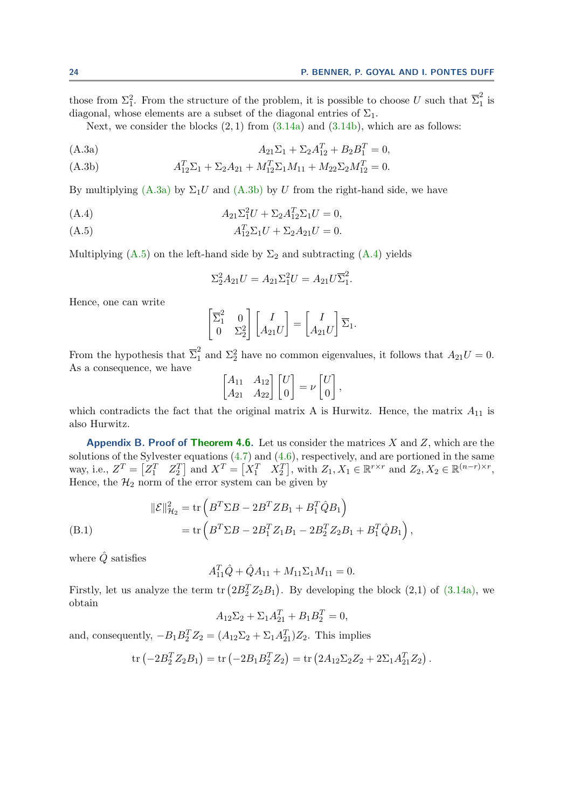.

those from  $\Sigma_1^2$ . From the structure of the problem, it is possible to choose U such that  $\overline{\Sigma}_1^2$  $\frac{2}{1}$  is diagonal, whose elements are a subset of the diagonal entries of  $\Sigma_1$ .

Next, we consider the blocks  $(2, 1)$  from  $(3.14a)$  and  $(3.14b)$ , which are as follows:

<span id="page-23-0"></span>(A.3a) 
$$
A_{21}\Sigma_1 + \Sigma_2 A_{12}^T + B_2 B_1^T = 0,
$$

<span id="page-23-1"></span>(A.3b) 
$$
A_{12}^T \Sigma_1 + \Sigma_2 A_{21} + M_{12}^T \Sigma_1 M_{11} + M_{22} \Sigma_2 M_{12}^T = 0.
$$

By multiplying [\(A.3a\)](#page-23-0) by  $\Sigma_1 U$  and [\(A.3b\)](#page-23-1) by U from the right-hand side, we have

<span id="page-23-3"></span>(A.4) 
$$
A_{21}\Sigma_1^2U + \Sigma_2A_{12}^T\Sigma_1U = 0,
$$

<span id="page-23-2"></span>(A.5) 
$$
A_{12}^T \Sigma_1 U + \Sigma_2 A_{21} U = 0.
$$

Multiplying  $(A.5)$  on the left-hand side by  $\Sigma_2$  and subtracting  $(A.4)$  yields

$$
\Sigma_2^2 A_{21} U = A_{21} \Sigma_1^2 U = A_{21} U \overline{\Sigma}_1^2.
$$

Hence, one can write

$$
\begin{bmatrix} \overline{\Sigma}_1^2 & 0 \\ 0 & \Sigma_2^2 \end{bmatrix} \begin{bmatrix} I \\ A_{21}U \end{bmatrix} = \begin{bmatrix} I \\ A_{21}U \end{bmatrix} \overline{\Sigma}_1.
$$

From the hypothesis that  $\overline{\Sigma}_{1}^{2}$  and  $\Sigma_{2}^{2}$  have no common eigenvalues, it follows that  $A_{21}U = 0$ . As a consequence, we have

$$
\begin{bmatrix} A_{11} & A_{12} \\ A_{21} & A_{22} \end{bmatrix} \begin{bmatrix} U \\ 0 \end{bmatrix} = \nu \begin{bmatrix} U \\ 0 \end{bmatrix},
$$

which contradicts the fact that the original matrix A is Hurwitz. Hence, the matrix  $A_{11}$  is also Hurwitz.

Appendix B. Proof of [Theorem 4.6.](#page-15-3) Let us consider the matrices  $X$  and  $Z$ , which are the solutions of the Sylvester equations  $(4.7)$  and  $(4.6)$ , respectively, and are portioned in the same way, i.e.,  $Z^T = \begin{bmatrix} Z_1^T & Z_2^T \end{bmatrix}$  and  $X^T = \begin{bmatrix} X_1^T & X_2^T \end{bmatrix}$ , with  $Z_1, X_1 \in \mathbb{R}^{r \times r}$  and  $Z_2, X_2 \in \mathbb{R}^{(n-r) \times r}$ , Hence, the  $\mathcal{H}_2$  norm of the error system can be given by

<span id="page-23-4"></span>(B.1)  
\n
$$
\|\mathcal{E}\|_{\mathcal{H}_2}^2 = \text{tr}\left(B^T \Sigma B - 2B^T Z B_1 + B_1^T \hat{Q} B_1\right)
$$
\n
$$
= \text{tr}\left(B^T \Sigma B - 2B_1^T Z_1 B_1 - 2B_2^T Z_2 B_1 + B_1^T \hat{Q} B_1\right),
$$

where  $\hat{Q}$  satisfies

$$
A_{11}^T \hat{Q} + \hat{Q} A_{11} + M_{11} \Sigma_1 M_{11} = 0.
$$

Firstly, let us analyze the term  $\text{tr} (2B_2^T Z_2 B_1)$ . By developing the block  $(2,1)$  of  $(3.14a)$ , we obtain

$$
A_{12}\Sigma_2 + \Sigma_1 A_{21}^T + B_1 B_2^T = 0,
$$
  
and, consequently,  $-B_1 B_2^T Z_2 = (A_{12}\Sigma_2 + \Sigma_1 A_{21}^T)Z_2$ . This implies  

$$
\text{tr}\left(-2B_1^T Z_2 B_2\right) = \text{tr}\left(-2B_1 B_1^T Z_2\right) = \text{tr}\left(2A_2 \Sigma_2 Z_2 + 2\Sigma_1 A_2^T Z_2\right)
$$

tr 
$$
(-2B_2^T Z_2 B_1)
$$
 = tr  $(-2B_1 B_2^T Z_2)$  = tr  $(2A_{12}\Sigma_2 Z_2 + 2\Sigma_1 A_{21}^T Z_2)$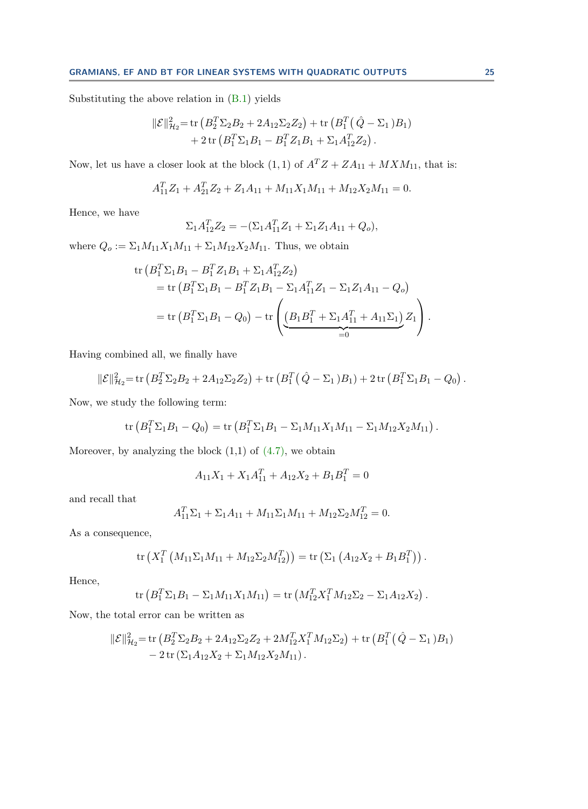Substituting the above relation in [\(B.1\)](#page-23-4) yields

$$
\begin{aligned} ||\mathcal{E}||_{\mathcal{H}_2}^2 &= \text{tr}\left(B_2^T \Sigma_2 B_2 + 2A_{12} \Sigma_2 Z_2\right) + \text{tr}\left(B_1^T \left(\hat{Q} - \Sigma_1\right) B_1\right) \\ &+ 2 \text{tr}\left(B_1^T \Sigma_1 B_1 - B_1^T Z_1 B_1 + \Sigma_1 A_{12}^T Z_2\right). \end{aligned}
$$

Now, let us have a closer look at the block  $(1, 1)$  of  $A^T Z + Z A_{11} + M X M_{11}$ , that is:

$$
A_{11}^T Z_1 + A_{21}^T Z_2 + Z_1 A_{11} + M_{11} X_1 M_{11} + M_{12} X_2 M_{11} = 0.
$$

Hence, we have

$$
\Sigma_1 A_{12}^T Z_2 = -(\Sigma_1 A_{11}^T Z_1 + \Sigma_1 Z_1 A_{11} + Q_o),
$$

where  $Q_0 := \sum_1 M_{11}X_1M_{11} + \sum_1 M_{12}X_2M_{11}$ . Thus, we obtain

tr 
$$
(B_1^T \Sigma_1 B_1 - B_1^T Z_1 B_1 + \Sigma_1 A_{12}^T Z_2)
$$
  
= tr  $(B_1^T \Sigma_1 B_1 - B_1^T Z_1 B_1 - \Sigma_1 A_{11}^T Z_1 - \Sigma_1 Z_1 A_{11} - Q_o)$   
= tr  $(B_1^T \Sigma_1 B_1 - Q_0) - tr \left( \underbrace{(B_1 B_1^T + \Sigma_1 A_{11}^T + A_{11} \Sigma_1)}_{=0} Z_1 \right).$ 

Having combined all, we finally have

$$
\|\mathcal{E}\|_{\mathcal{H}_2}^2 = \text{tr}\left(B_2^T \Sigma_2 B_2 + 2A_{12} \Sigma_2 Z_2\right) + \text{tr}\left(B_1^T\left(\hat{Q} - \Sigma_1\right)B_1\right) + 2 \text{tr}\left(B_1^T \Sigma_1 B_1 - Q_0\right).
$$

Now, we study the following term:

tr 
$$
(B_1^T \Sigma_1 B_1 - Q_0) =
$$
tr  $(B_1^T \Sigma_1 B_1 - \Sigma_1 M_{11} X_1 M_{11} - \Sigma_1 M_{12} X_2 M_{11}).$ 

Moreover, by analyzing the block  $(1,1)$  of  $(4.7)$ , we obtain

$$
A_{11}X_1 + X_1A_{11}^T + A_{12}X_2 + B_1B_1^T = 0
$$

and recall that

$$
A_{11}^T \Sigma_1 + \Sigma_1 A_{11} + M_{11} \Sigma_1 M_{11} + M_{12} \Sigma_2 M_{12}^T = 0.
$$

As a consequence,

tr 
$$
(X_1^T (M_{11} \Sigma_1 M_{11} + M_{12} \Sigma_2 M_{12}^T)) =
$$
tr  $(\Sigma_1 (A_{12} X_2 + B_1 B_1^T))$ .

Hence,

tr 
$$
(B_1^T \Sigma_1 B_1 - \Sigma_1 M_{11} X_1 M_{11}) =
$$
tr  $(M_{12}^T X_1^T M_{12} \Sigma_2 - \Sigma_1 A_{12} X_2).$ 

Now, the total error can be written as

$$
\begin{aligned} \|\mathcal{E}\|_{\mathcal{H}_2}^2 &= \text{tr}\left(B_2^T \Sigma_2 B_2 + 2A_{12} \Sigma_2 Z_2 + 2M_{12}^T X_1^T M_{12} \Sigma_2\right) + \text{tr}\left(B_1^T\left(\hat{Q} - \Sigma_1\right) B_1\right) \\ &- 2 \text{ tr}\left(\Sigma_1 A_{12} X_2 + \Sigma_1 M_{12} X_2 M_{11}\right). \end{aligned}
$$